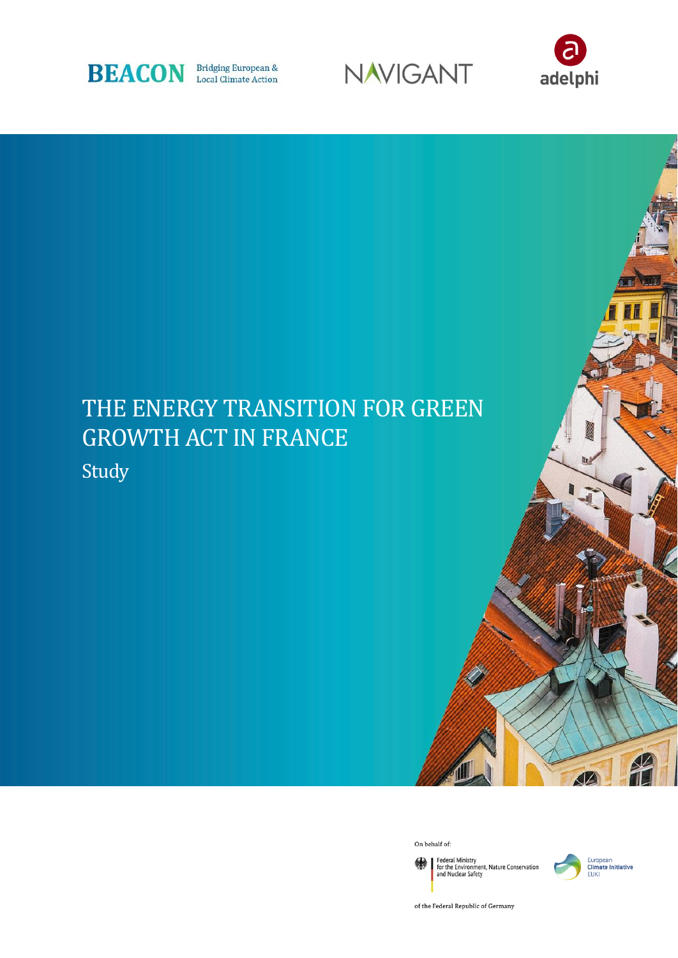





# THE ENERGY TRANSITION FOR GREEN GROWTH ACT IN FRANCE

Study



Federal Ministry<br>for the Environment, Nature Conservation<br>and Nuclear Safety 绿



of the Federal Republic of Germany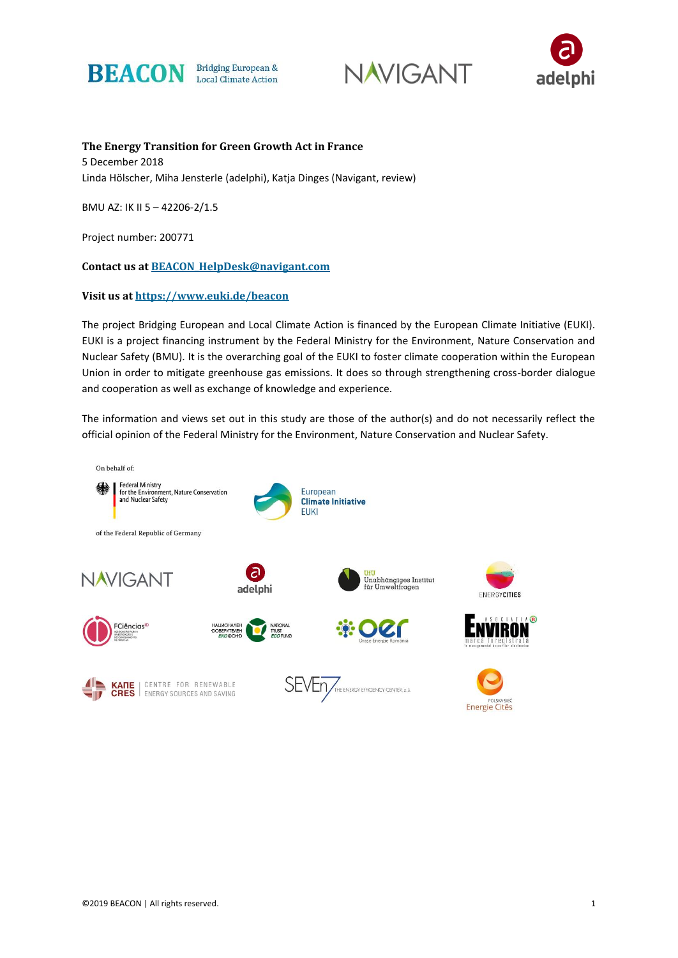





**The Energy Transition for Green Growth Act in France** 5 December 2018 Linda Hölscher, Miha Jensterle (adelphi), Katja Dinges (Navigant, review)

BMU AZ: IK II 5 – 42206-2/1.5

Project number: 200771

**Contact us at [BEACON\\_HelpDesk@navigant.com](mailto:BEACON_HelpDesk@navigant.com)**

#### **Visit us at<https://www.euki.de/beacon>**

The project Bridging European and Local Climate Action is financed by the European Climate Initiative (EUKI). EUKI is a project financing instrument by the Federal Ministry for the Environment, Nature Conservation and Nuclear Safety (BMU). It is the overarching goal of the EUKI to foster climate cooperation within the European Union in order to mitigate greenhouse gas emissions. It does so through strengthening cross-border dialogue and cooperation as well as exchange of knowledge and experience.

The information and views set out in this study are those of the author(s) and do not necessarily reflect the official opinion of the Federal Ministry for the Environment, Nature Conservation and Nuclear Safety.

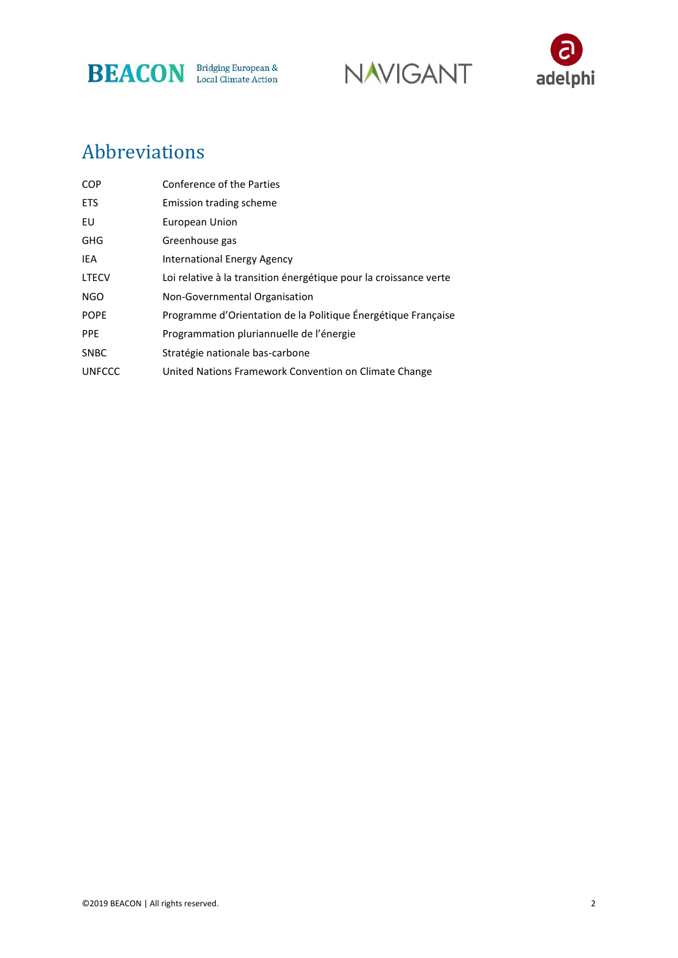





# Abbreviations

| <b>COP</b>    | Conference of the Parties                                         |
|---------------|-------------------------------------------------------------------|
| <b>ETS</b>    | Emission trading scheme                                           |
| EU            | European Union                                                    |
| <b>GHG</b>    | Greenhouse gas                                                    |
| IEA           | <b>International Energy Agency</b>                                |
| <b>LTECV</b>  | Loi relative à la transition énergétique pour la croissance verte |
| NGO           | Non-Governmental Organisation                                     |
| <b>POPE</b>   | Programme d'Orientation de la Politique Énergétique Française     |
| <b>PPE</b>    | Programmation pluriannuelle de l'énergie                          |
| <b>SNBC</b>   | Stratégie nationale bas-carbone                                   |
| <b>UNFCCC</b> | United Nations Framework Convention on Climate Change             |
|               |                                                                   |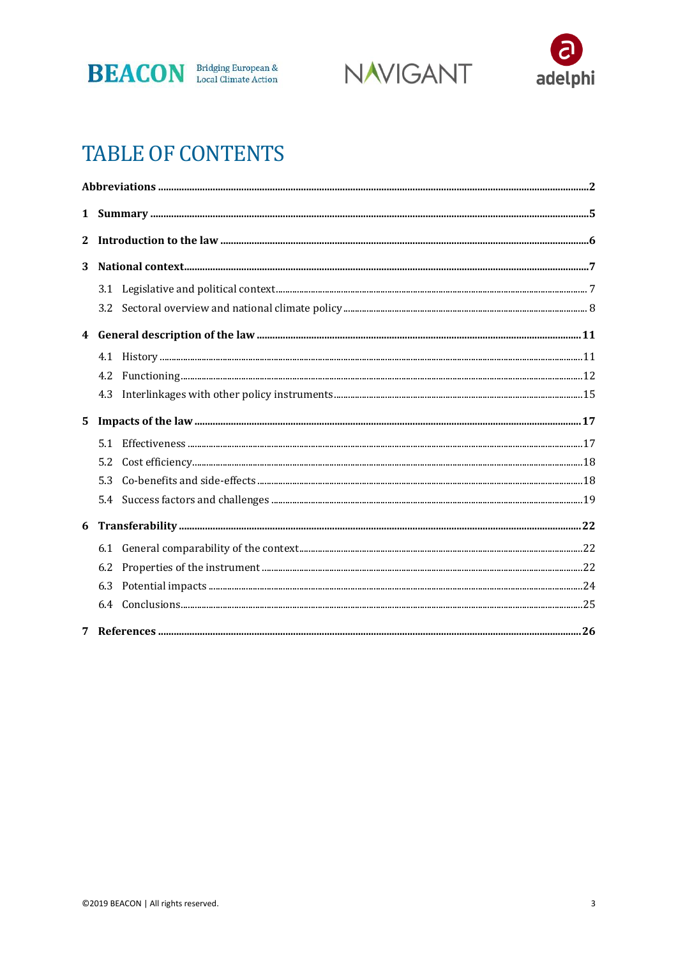





# **TABLE OF CONTENTS**

| $\mathbf 1$      |     |                                                                                                                                               |  |
|------------------|-----|-----------------------------------------------------------------------------------------------------------------------------------------------|--|
| 2                |     |                                                                                                                                               |  |
| 3                |     |                                                                                                                                               |  |
|                  |     |                                                                                                                                               |  |
|                  |     |                                                                                                                                               |  |
| $\boldsymbol{4}$ |     |                                                                                                                                               |  |
|                  |     |                                                                                                                                               |  |
|                  | 4.2 |                                                                                                                                               |  |
|                  | 4.3 |                                                                                                                                               |  |
| 5                |     |                                                                                                                                               |  |
|                  |     |                                                                                                                                               |  |
|                  | 5.2 | $\textbf{Cost efficiency.} \textcolor{red}{\textbf{}} \textcolor{red}{\textbf{18}} \textcolor{red}{\textbf{19}} \textcolor{red}{\textbf{19}}$ |  |
|                  | 5.3 |                                                                                                                                               |  |
|                  | 5.4 |                                                                                                                                               |  |
|                  |     |                                                                                                                                               |  |
|                  |     |                                                                                                                                               |  |
|                  | 6.2 |                                                                                                                                               |  |
|                  | 6.3 |                                                                                                                                               |  |
|                  |     |                                                                                                                                               |  |
|                  |     |                                                                                                                                               |  |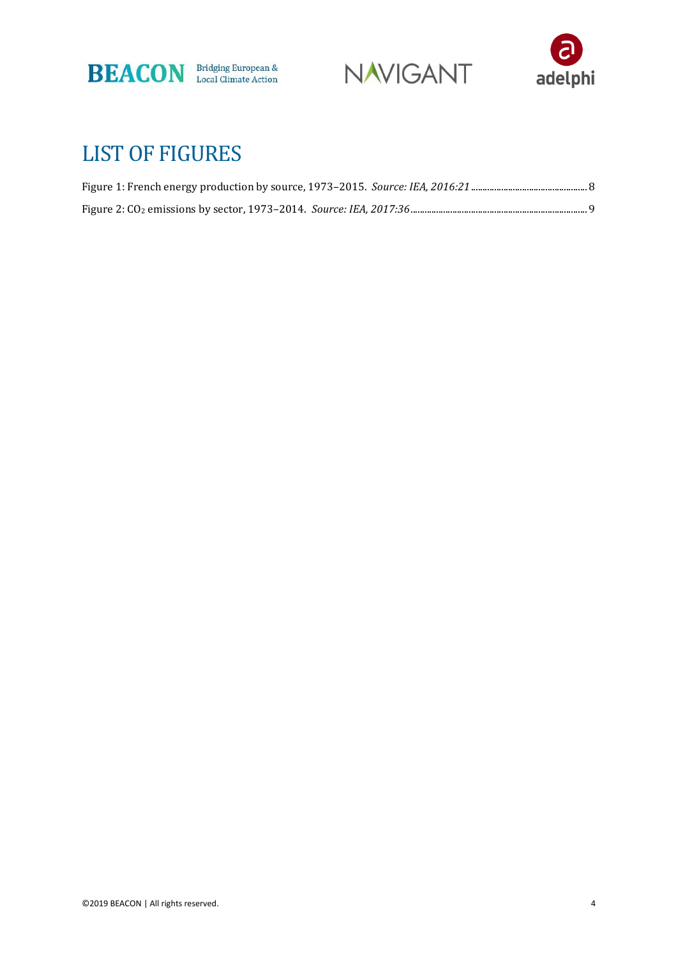





# LIST OF FIGURES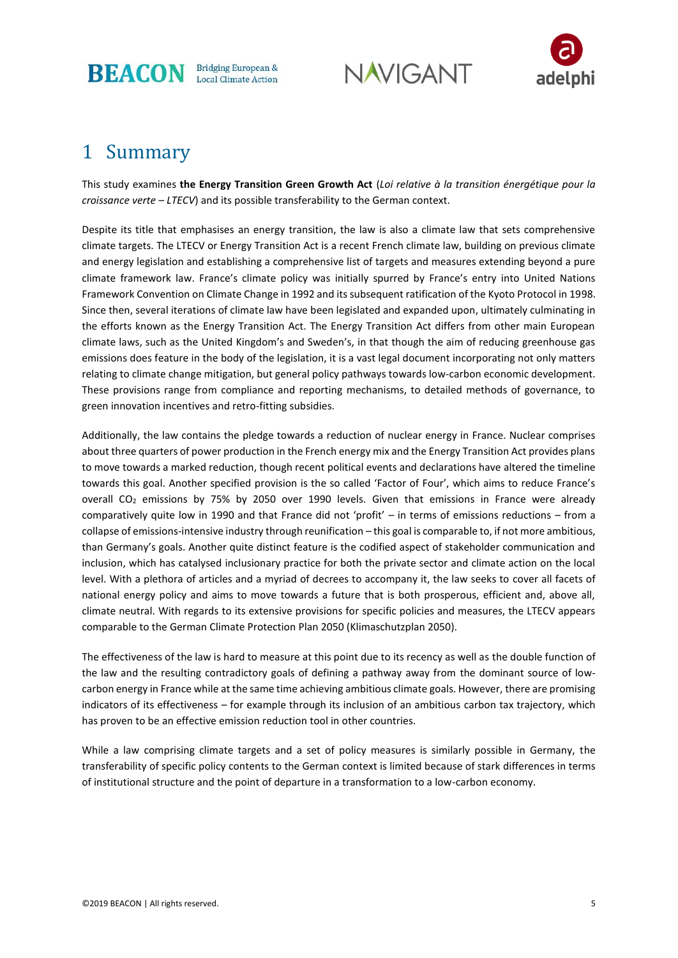

**NAVIGANT** 



# 1 Summary

This study examines **the Energy Transition Green Growth Act** (*Loi relative à la transition énergétique pour la croissance verte – LTECV*) and its possible transferability to the German context.

Despite its title that emphasises an energy transition, the law is also a climate law that sets comprehensive climate targets. The LTECV or Energy Transition Act is a recent French climate law, building on previous climate and energy legislation and establishing a comprehensive list of targets and measures extending beyond a pure climate framework law. France's climate policy was initially spurred by France's entry into United Nations Framework Convention on Climate Change in 1992 and its subsequent ratification of the Kyoto Protocol in 1998. Since then, several iterations of climate law have been legislated and expanded upon, ultimately culminating in the efforts known as the Energy Transition Act. The Energy Transition Act differs from other main European climate laws, such as the United Kingdom's and Sweden's, in that though the aim of reducing greenhouse gas emissions does feature in the body of the legislation, it is a vast legal document incorporating not only matters relating to climate change mitigation, but general policy pathways towards low-carbon economic development. These provisions range from compliance and reporting mechanisms, to detailed methods of governance, to green innovation incentives and retro-fitting subsidies.

Additionally, the law contains the pledge towards a reduction of nuclear energy in France. Nuclear comprises about three quarters of power production in the French energy mix and the Energy Transition Act provides plans to move towards a marked reduction, though recent political events and declarations have altered the timeline towards this goal. Another specified provision is the so called 'Factor of Four', which aims to reduce France's overall CO<sup>2</sup> emissions by 75% by 2050 over 1990 levels. Given that emissions in France were already comparatively quite low in 1990 and that France did not 'profit' – in terms of emissions reductions – from a collapse of emissions-intensive industry through reunification – this goal is comparable to, if not more ambitious, than Germany's goals. Another quite distinct feature is the codified aspect of stakeholder communication and inclusion, which has catalysed inclusionary practice for both the private sector and climate action on the local level. With a plethora of articles and a myriad of decrees to accompany it, the law seeks to cover all facets of national energy policy and aims to move towards a future that is both prosperous, efficient and, above all, climate neutral. With regards to its extensive provisions for specific policies and measures, the LTECV appears comparable to the German Climate Protection Plan 2050 (Klimaschutzplan 2050).

The effectiveness of the law is hard to measure at this point due to its recency as well as the double function of the law and the resulting contradictory goals of defining a pathway away from the dominant source of lowcarbon energy in France while at the same time achieving ambitious climate goals. However, there are promising indicators of its effectiveness – for example through its inclusion of an ambitious carbon tax trajectory, which has proven to be an effective emission reduction tool in other countries.

While a law comprising climate targets and a set of policy measures is similarly possible in Germany, the transferability of specific policy contents to the German context is limited because of stark differences in terms of institutional structure and the point of departure in a transformation to a low-carbon economy.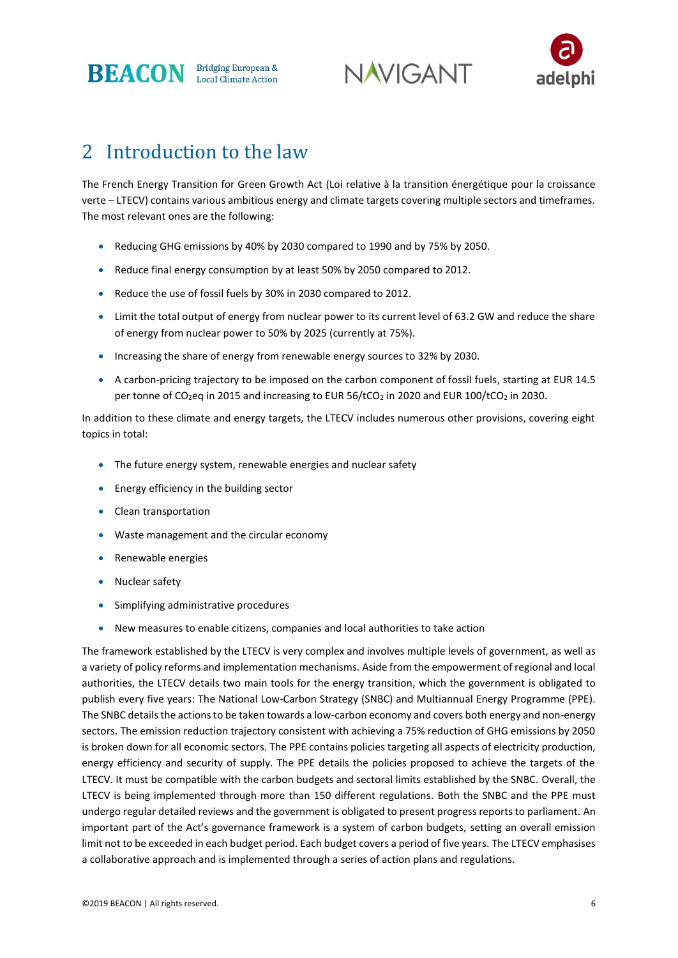

**NAVIGANT** 



# 2 Introduction to the law

The French Energy Transition for Green Growth Act (Loi relative à la transition énergétique pour la croissance verte – LTECV) contains various ambitious energy and climate targets covering multiple sectors and timeframes. The most relevant ones are the following:

- Reducing GHG emissions by 40% by 2030 compared to 1990 and by 75% by 2050.
- Reduce final energy consumption by at least 50% by 2050 compared to 2012.
- Reduce the use of fossil fuels by 30% in 2030 compared to 2012.
- Limit the total output of energy from nuclear power to its current level of 63.2 GW and reduce the share of energy from nuclear power to 50% by 2025 (currently at 75%).
- Increasing the share of energy from renewable energy sources to 32% by 2030.
- A carbon-pricing trajectory to be imposed on the carbon component of fossil fuels, starting at EUR 14.5 per tonne of CO<sub>2</sub>eq in 2015 and increasing to EUR 56/tCO<sub>2</sub> in 2020 and EUR 100/tCO<sub>2</sub> in 2030.

In addition to these climate and energy targets, the LTECV includes numerous other provisions, covering eight topics in total:

- The future energy system, renewable energies and nuclear safety
- Energy efficiency in the building sector
- Clean transportation
- Waste management and the circular economy
- Renewable energies
- Nuclear safety
- Simplifying administrative procedures
- New measures to enable citizens, companies and local authorities to take action

The framework established by the LTECV is very complex and involves multiple levels of government, as well as a variety of policy reforms and implementation mechanisms. Aside from the empowerment of regional and local authorities, the LTECV details two main tools for the energy transition, which the government is obligated to publish every five years: The National Low-Carbon Strategy (SNBC) and Multiannual Energy Programme (PPE). The SNBC details the actions to be taken towards a low-carbon economy and covers both energy and non-energy sectors. The emission reduction trajectory consistent with achieving a 75% reduction of GHG emissions by 2050 is broken down for all economic sectors. The PPE contains policies targeting all aspects of electricity production, energy efficiency and security of supply. The PPE details the policies proposed to achieve the targets of the LTECV. It must be compatible with the carbon budgets and sectoral limits established by the SNBC. Overall, the LTECV is being implemented through more than 150 different regulations. Both the SNBC and the PPE must undergo regular detailed reviews and the government is obligated to present progress reports to parliament. An important part of the Act's governance framework is a system of carbon budgets, setting an overall emission limit not to be exceeded in each budget period. Each budget covers a period of five years. The LTECV emphasises a collaborative approach and is implemented through a series of action plans and regulations.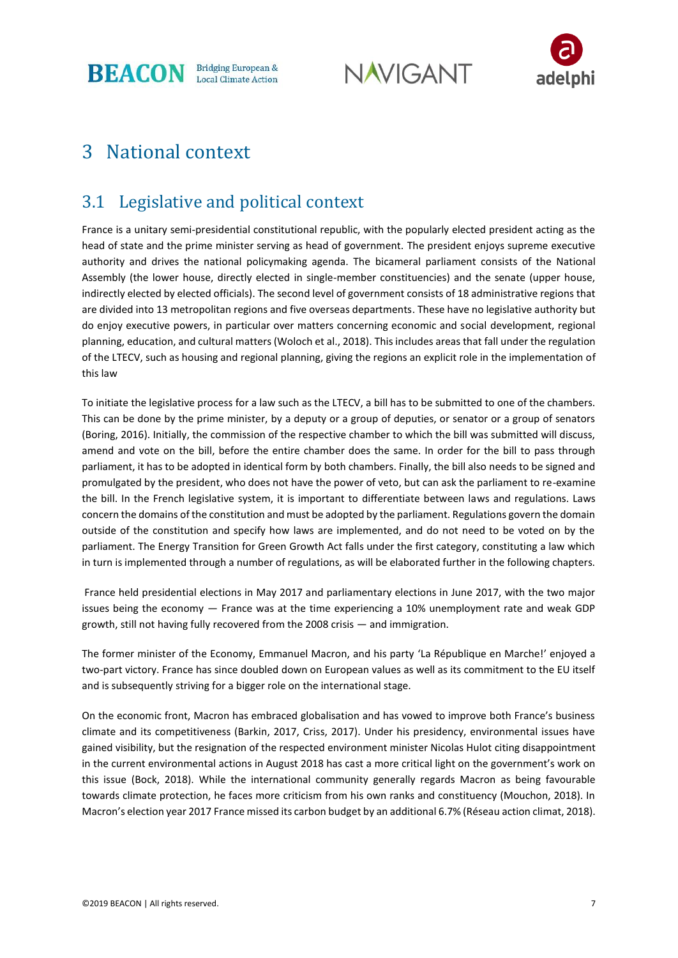**BEACON** Bridging European &

**NAVIGANT** 



# 3 National context

# 3.1 Legislative and political context

France is a unitary semi-presidential constitutional republic, with the popularly elected president acting as the head of state and the prime minister serving as head of government. The president enjoys supreme executive authority and drives the national policymaking agenda. The bicameral parliament consists of the National Assembly (the lower house, directly elected in single-member constituencies) and the senate (upper house, indirectly elected by elected officials). The second level of government consists of 18 administrative regions that are divided into 13 metropolitan regions and five overseas departments. These have no legislative authority but do enjoy executive powers, in particular over matters concerning economic and social development, regional planning, education, and cultural matters (Woloch et al., 2018). This includes areas that fall under the regulation of the LTECV, such as housing and regional planning, giving the regions an explicit role in the implementation of this law

To initiate the legislative process for a law such as the LTECV, a bill has to be submitted to one of the chambers. This can be done by the prime minister, by a deputy or a group of deputies, or senator or a group of senators (Boring, 2016). Initially, the commission of the respective chamber to which the bill was submitted will discuss, amend and vote on the bill, before the entire chamber does the same. In order for the bill to pass through parliament, it has to be adopted in identical form by both chambers. Finally, the bill also needs to be signed and promulgated by the president, who does not have the power of veto, but can ask the parliament to re-examine the bill. In the French legislative system, it is important to differentiate between laws and regulations. Laws concern the domains of the constitution and must be adopted by the parliament. Regulations govern the domain outside of the constitution and specify how laws are implemented, and do not need to be voted on by the parliament. The Energy Transition for Green Growth Act falls under the first category, constituting a law which in turn is implemented through a number of regulations, as will be elaborated further in the following chapters.

France held presidential elections in May 2017 and parliamentary elections in June 2017, with the two major issues being the economy — France was at the time experiencing a 10% unemployment rate and weak GDP growth, still not having fully recovered from the 2008 crisis — and immigration.

The former minister of the Economy, Emmanuel Macron, and his party 'La République en Marche!' enjoyed a two-part victory. France has since doubled down on European values as well as its commitment to the EU itself and is subsequently striving for a bigger role on the international stage.

On the economic front, Macron has embraced globalisation and has vowed to improve both France's business climate and its competitiveness (Barkin, 2017, Criss, 2017). Under his presidency, environmental issues have gained visibility, but the resignation of the respected environment minister Nicolas Hulot citing disappointment in the current environmental actions in August 2018 has cast a more critical light on the government's work on this issue (Bock, 2018). While the international community generally regards Macron as being favourable towards climate protection, he faces more criticism from his own ranks and constituency (Mouchon, 2018). In Macron's election year 2017 France missed its carbon budget by an additional 6.7% (Réseau action climat, 2018).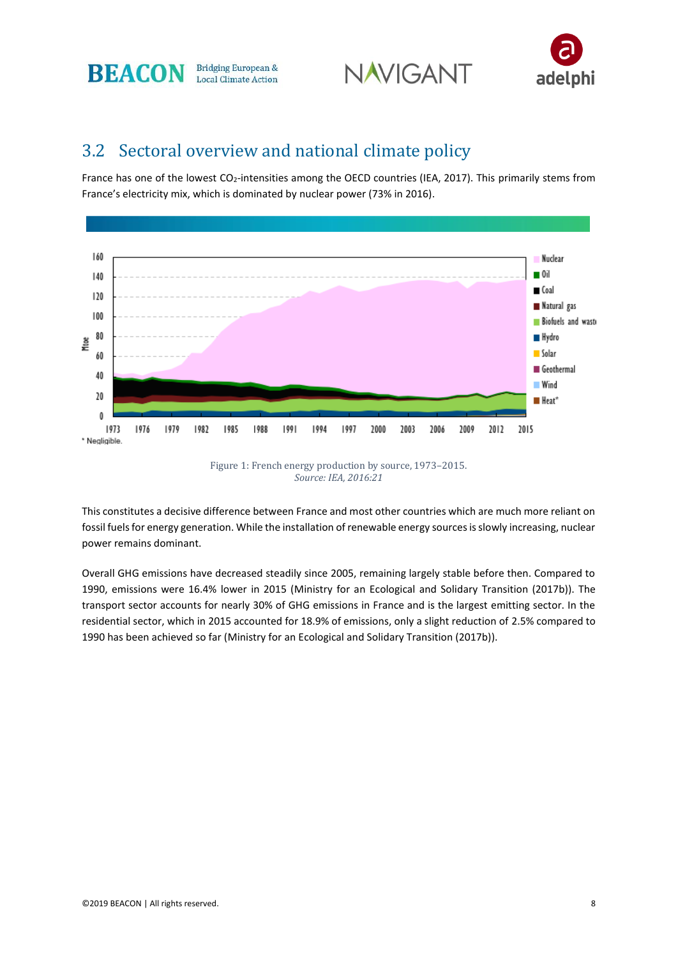





### 3.2 Sectoral overview and national climate policy

France has one of the lowest CO2-intensities among the OECD countries (IEA, 2017). This primarily stems from France's electricity mix, which is dominated by nuclear power (73% in 2016).



This constitutes a decisive difference between France and most other countries which are much more reliant on fossil fuels for energy generation. While the installation of renewable energy sources is slowly increasing, nuclear power remains dominant.

Overall GHG emissions have decreased steadily since 2005, remaining largely stable before then. Compared to 1990, emissions were 16.4% lower in 2015 (Ministry for an Ecological and Solidary Transition (2017b)). The transport sector accounts for nearly 30% of GHG emissions in France and is the largest emitting sector. In the residential sector, which in 2015 accounted for 18.9% of emissions, only a slight reduction of 2.5% compared to 1990 has been achieved so far (Ministry for an Ecological and Solidary Transition (2017b)).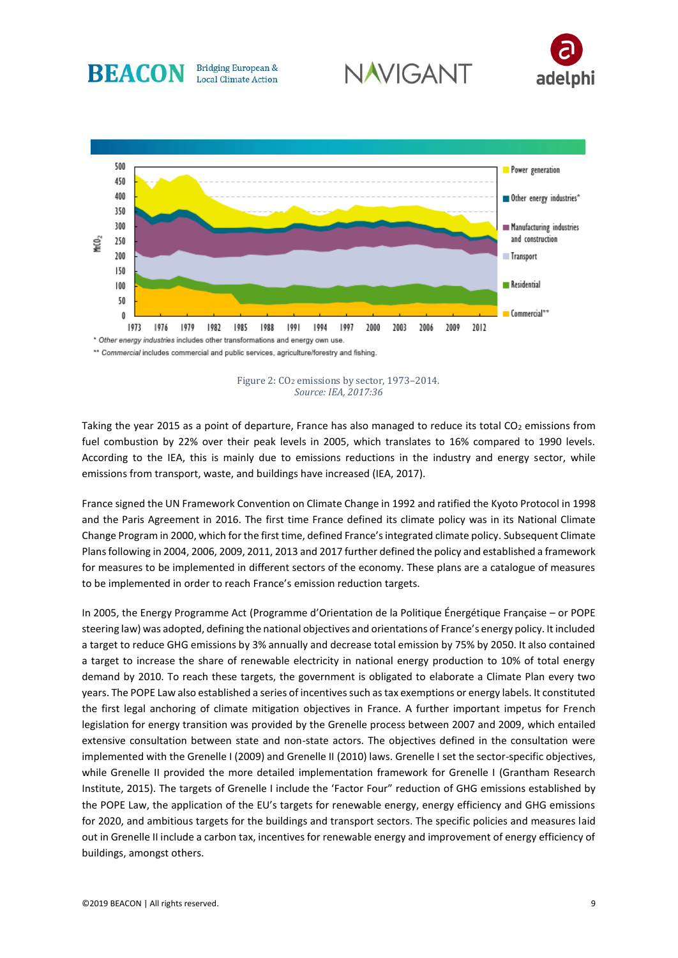

Figure 2: CO<sub>2</sub> emissions by sector, 1973–2014. *Source: IEA, 2017:36*

Taking the year 2015 as a point of departure, France has also managed to reduce its total  $CO<sub>2</sub>$  emissions from fuel combustion by 22% over their peak levels in 2005, which translates to 16% compared to 1990 levels. According to the IEA, this is mainly due to emissions reductions in the industry and energy sector, while emissions from transport, waste, and buildings have increased (IEA, 2017).

France signed the UN Framework Convention on Climate Change in 1992 and ratified the Kyoto Protocol in 1998 and the Paris Agreement in 2016. The first time France defined its climate policy was in its National Climate Change Program in 2000, which for the first time, defined France's integrated climate policy. Subsequent Climate Plans following in 2004, 2006, 2009, 2011, 2013 and 2017 further defined the policy and established a framework for measures to be implemented in different sectors of the economy. These plans are a catalogue of measures to be implemented in order to reach France's emission reduction targets.

In 2005, the Energy Programme Act (Programme d'Orientation de la Politique Énergétique Française – or POPE steering law) was adopted, defining the national objectives and orientations of France's energy policy. It included a target to reduce GHG emissions by 3% annually and decrease total emission by 75% by 2050. It also contained a target to increase the share of renewable electricity in national energy production to 10% of total energy demand by 2010. To reach these targets, the government is obligated to elaborate a Climate Plan every two years. The POPE Law also established a series of incentives such as tax exemptions or energy labels. It constituted the first legal anchoring of climate mitigation objectives in France. A further important impetus for French legislation for energy transition was provided by the Grenelle process between 2007 and 2009, which entailed extensive consultation between state and non-state actors. The objectives defined in the consultation were implemented with the Grenelle I (2009) and Grenelle II (2010) laws. Grenelle I set the sector-specific objectives, while Grenelle II provided the more detailed implementation framework for Grenelle I (Grantham Research Institute, 2015). The targets of Grenelle I include the 'Factor Four" reduction of GHG emissions established by the POPE Law, the application of the EU's targets for renewable energy, energy efficiency and GHG emissions for 2020, and ambitious targets for the buildings and transport sectors. The specific policies and measures laid out in Grenelle II include a carbon tax, incentives for renewable energy and improvement of energy efficiency of buildings, amongst others.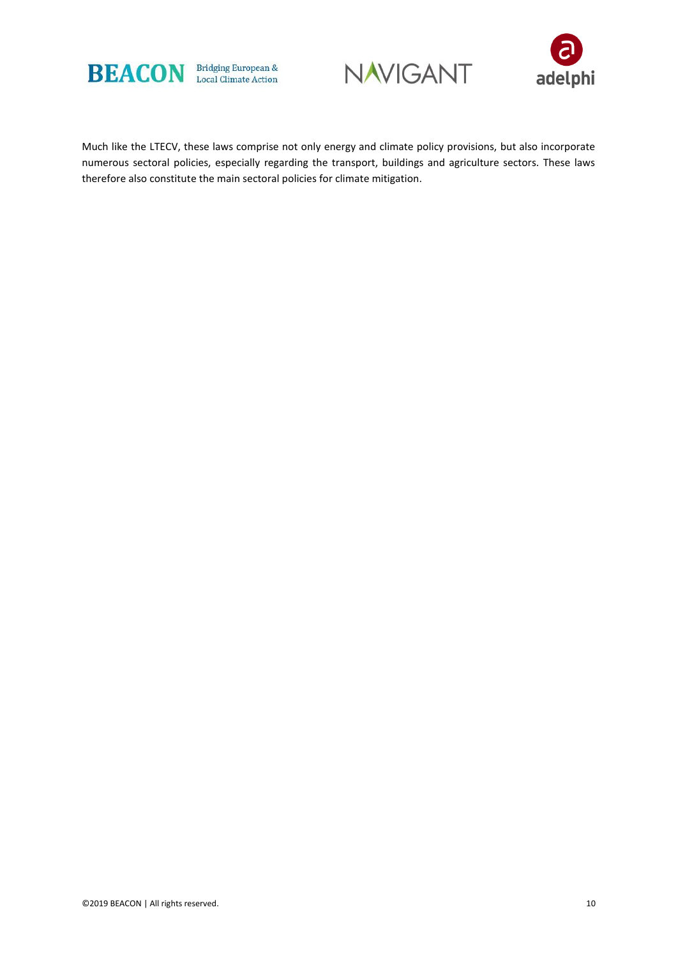





Much like the LTECV, these laws comprise not only energy and climate policy provisions, but also incorporate numerous sectoral policies, especially regarding the transport, buildings and agriculture sectors. These laws therefore also constitute the main sectoral policies for climate mitigation.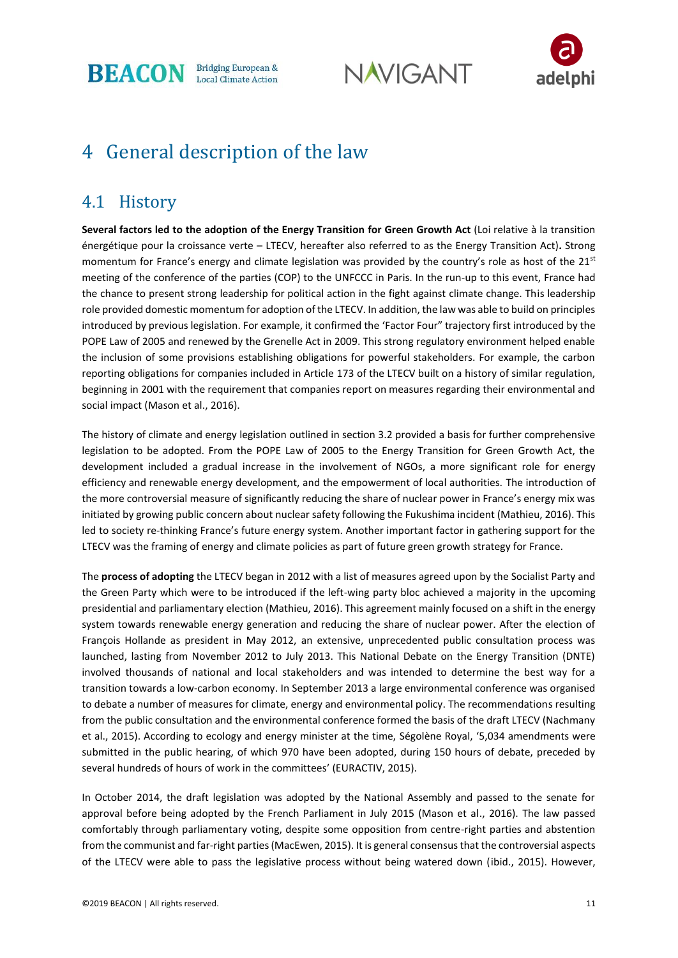

**NAVIGANT** 



# 4 General description of the law

### 4.1 History

**Several factors led to the adoption of the Energy Transition for Green Growth Act** (Loi relative à la transition énergétique pour la croissance verte – LTECV, hereafter also referred to as the Energy Transition Act)**.** Strong momentum for France's energy and climate legislation was provided by the country's role as host of the  $21^{st}$ meeting of the conference of the parties (COP) to the UNFCCC in Paris. In the run-up to this event, France had the chance to present strong leadership for political action in the fight against climate change. This leadership role provided domestic momentum for adoption of the LTECV. In addition, the law was able to build on principles introduced by previous legislation. For example, it confirmed the 'Factor Four" trajectory first introduced by the POPE Law of 2005 and renewed by the Grenelle Act in 2009. This strong regulatory environment helped enable the inclusion of some provisions establishing obligations for powerful stakeholders. For example, the carbon reporting obligations for companies included in Article 173 of the LTECV built on a history of similar regulation, beginning in 2001 with the requirement that companies report on measures regarding their environmental and social impact (Mason et al., 2016).

The history of climate and energy legislation outlined in section 3.2 provided a basis for further comprehensive legislation to be adopted. From the POPE Law of 2005 to the Energy Transition for Green Growth Act, the development included a gradual increase in the involvement of NGOs, a more significant role for energy efficiency and renewable energy development, and the empowerment of local authorities. The introduction of the more controversial measure of significantly reducing the share of nuclear power in France's energy mix was initiated by growing public concern about nuclear safety following the Fukushima incident (Mathieu, 2016). This led to society re-thinking France's future energy system. Another important factor in gathering support for the LTECV was the framing of energy and climate policies as part of future green growth strategy for France.

The **process of adopting** the LTECV began in 2012 with a list of measures agreed upon by the Socialist Party and the Green Party which were to be introduced if the left-wing party bloc achieved a majority in the upcoming presidential and parliamentary election (Mathieu, 2016). This agreement mainly focused on a shift in the energy system towards renewable energy generation and reducing the share of nuclear power. After the election of François Hollande as president in May 2012, an extensive, unprecedented public consultation process was launched, lasting from November 2012 to July 2013. This National Debate on the Energy Transition (DNTE) involved thousands of national and local stakeholders and was intended to determine the best way for a transition towards a low-carbon economy. In September 2013 a large environmental conference was organised to debate a number of measures for climate, energy and environmental policy. The recommendations resulting from the public consultation and the environmental conference formed the basis of the draft LTECV (Nachmany et al., 2015). According to ecology and energy minister at the time, Ségolène Royal, '5,034 amendments were submitted in the public hearing, of which 970 have been adopted, during 150 hours of debate, preceded by several hundreds of hours of work in the committees' (EURACTIV, 2015).

In October 2014, the draft legislation was adopted by the National Assembly and passed to the senate for approval before being adopted by the French Parliament in July 2015 (Mason et al., 2016). The law passed comfortably through parliamentary voting, despite some opposition from centre-right parties and abstention from the communist and far-right parties (MacEwen, 2015). It is general consensus that the controversial aspects of the LTECV were able to pass the legislative process without being watered down (ibid., 2015). However,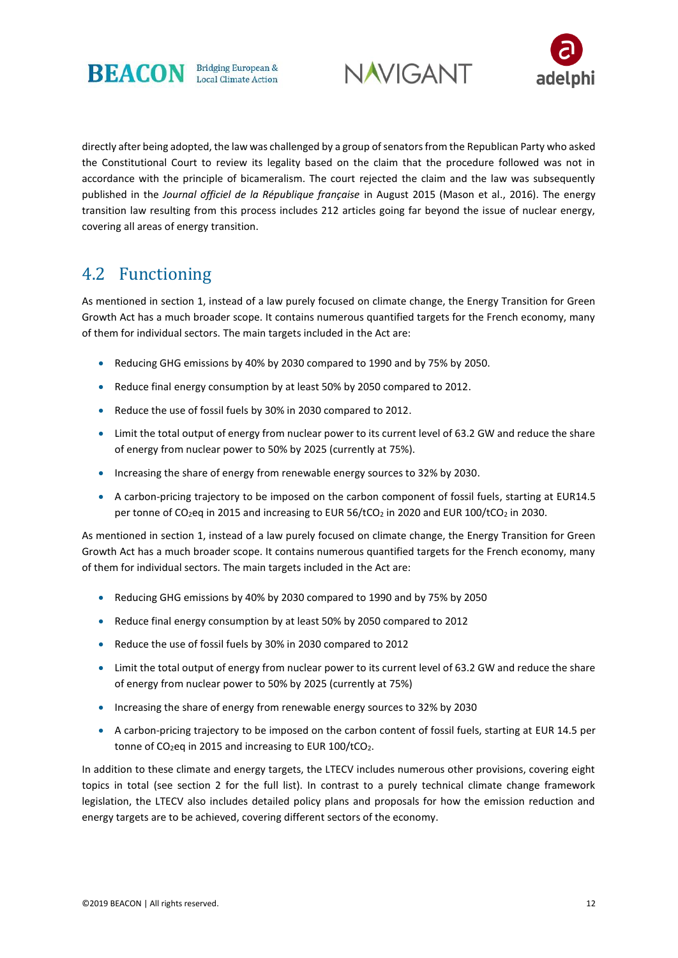





directly after being adopted, the law was challenged by a group of senators from the Republican Party who asked the Constitutional Court to review its legality based on the claim that the procedure followed was not in accordance with the principle of bicameralism. The court rejected the claim and the law was subsequently published in the *Journal officiel de la République française* in August 2015 (Mason et al., 2016). The energy transition law resulting from this process includes 212 articles going far beyond the issue of nuclear energy, covering all areas of energy transition.

# 4.2 Functioning

As mentioned in section 1, instead of a law purely focused on climate change, the Energy Transition for Green Growth Act has a much broader scope. It contains numerous quantified targets for the French economy, many of them for individual sectors. The main targets included in the Act are:

- Reducing GHG emissions by 40% by 2030 compared to 1990 and by 75% by 2050.
- Reduce final energy consumption by at least 50% by 2050 compared to 2012.
- Reduce the use of fossil fuels by 30% in 2030 compared to 2012.
- Limit the total output of energy from nuclear power to its current level of 63.2 GW and reduce the share of energy from nuclear power to 50% by 2025 (currently at 75%).
- Increasing the share of energy from renewable energy sources to 32% by 2030.
- A carbon-pricing trajectory to be imposed on the carbon component of fossil fuels, starting at EUR14.5 per tonne of CO<sub>2</sub>eq in 2015 and increasing to EUR 56/tCO<sub>2</sub> in 2020 and EUR 100/tCO<sub>2</sub> in 2030.

As mentioned in section 1, instead of a law purely focused on climate change, the Energy Transition for Green Growth Act has a much broader scope. It contains numerous quantified targets for the French economy, many of them for individual sectors. The main targets included in the Act are:

- Reducing GHG emissions by 40% by 2030 compared to 1990 and by 75% by 2050
- Reduce final energy consumption by at least 50% by 2050 compared to 2012
- Reduce the use of fossil fuels by 30% in 2030 compared to 2012
- Limit the total output of energy from nuclear power to its current level of 63.2 GW and reduce the share of energy from nuclear power to 50% by 2025 (currently at 75%)
- Increasing the share of energy from renewable energy sources to 32% by 2030
- A carbon-pricing trajectory to be imposed on the carbon content of fossil fuels, starting at EUR 14.5 per tonne of  $CO<sub>2</sub>$ eq in 2015 and increasing to EUR 100/tCO<sub>2</sub>.

In addition to these climate and energy targets, the LTECV includes numerous other provisions, covering eight topics in total (see section 2 for the full list). In contrast to a purely technical climate change framework legislation, the LTECV also includes detailed policy plans and proposals for how the emission reduction and energy targets are to be achieved, covering different sectors of the economy.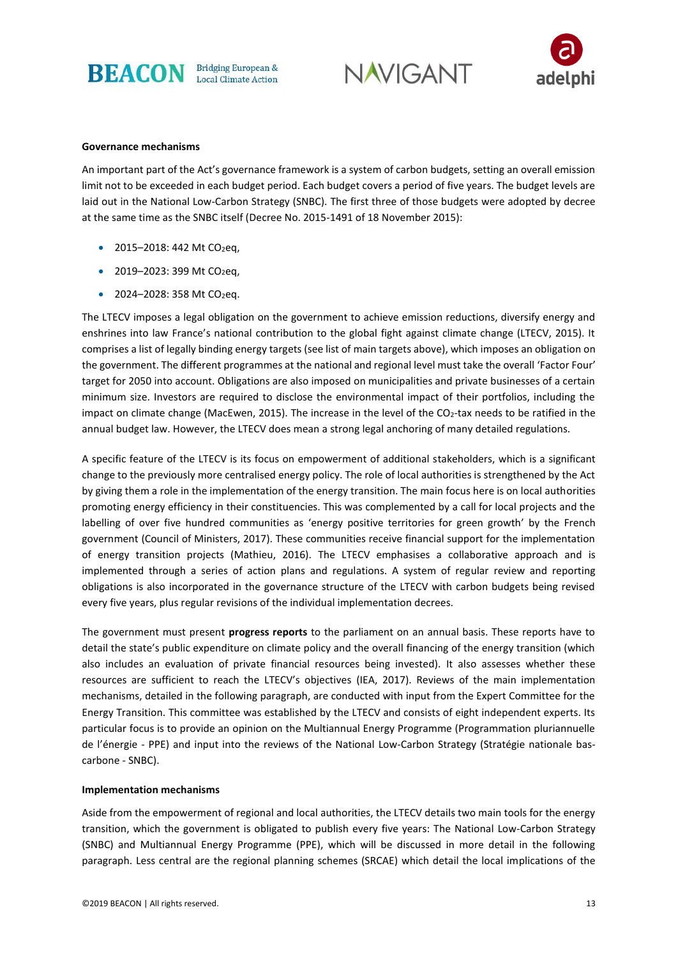





#### **Governance mechanisms**

An important part of the Act's governance framework is a system of carbon budgets, setting an overall emission limit not to be exceeded in each budget period. Each budget covers a period of five years. The budget levels are laid out in the National Low-Carbon Strategy (SNBC). The first three of those budgets were adopted by decree at the same time as the SNBC itself (Decree No. 2015-1491 of 18 November 2015):

- 2015–2018: 442 Mt CO<sub>2</sub>eq,
- 2019–2023: 399 Mt CO<sub>2</sub>eq,
- 2024-2028: 358 Mt CO<sub>2</sub>eq.

The LTECV imposes a legal obligation on the government to achieve emission reductions, diversify energy and enshrines into law France's national contribution to the global fight against climate change (LTECV, 2015). It comprises a list of legally binding energy targets (see list of main targets above), which imposes an obligation on the government. The different programmes at the national and regional level must take the overall 'Factor Four' target for 2050 into account. Obligations are also imposed on municipalities and private businesses of a certain minimum size. Investors are required to disclose the environmental impact of their portfolios, including the impact on climate change (MacEwen, 2015). The increase in the level of the CO<sub>2</sub>-tax needs to be ratified in the annual budget law. However, the LTECV does mean a strong legal anchoring of many detailed regulations.

A specific feature of the LTECV is its focus on empowerment of additional stakeholders, which is a significant change to the previously more centralised energy policy. The role of local authorities is strengthened by the Act by giving them a role in the implementation of the energy transition. The main focus here is on local authorities promoting energy efficiency in their constituencies. This was complemented by a call for local projects and the labelling of over five hundred communities as 'energy positive territories for green growth' by the French government (Council of Ministers, 2017). These communities receive financial support for the implementation of energy transition projects (Mathieu, 2016). The LTECV emphasises a collaborative approach and is implemented through a series of action plans and regulations. A system of regular review and reporting obligations is also incorporated in the governance structure of the LTECV with carbon budgets being revised every five years, plus regular revisions of the individual implementation decrees.

The government must present **progress reports** to the parliament on an annual basis. These reports have to detail the state's public expenditure on climate policy and the overall financing of the energy transition (which also includes an evaluation of private financial resources being invested). It also assesses whether these resources are sufficient to reach the LTECV's objectives (IEA, 2017). Reviews of the main implementation mechanisms, detailed in the following paragraph, are conducted with input from the Expert Committee for the Energy Transition. This committee was established by the LTECV and consists of eight independent experts. Its particular focus is to provide an opinion on the Multiannual Energy Programme (Programmation pluriannuelle de l'énergie - PPE) and input into the reviews of the National Low-Carbon Strategy (Stratégie nationale bascarbone - SNBC).

#### **Implementation mechanisms**

Aside from the empowerment of regional and local authorities, the LTECV details two main tools for the energy transition, which the government is obligated to publish every five years: The National Low-Carbon Strategy (SNBC) and Multiannual Energy Programme (PPE), which will be discussed in more detail in the following paragraph. Less central are the regional planning schemes (SRCAE) which detail the local implications of the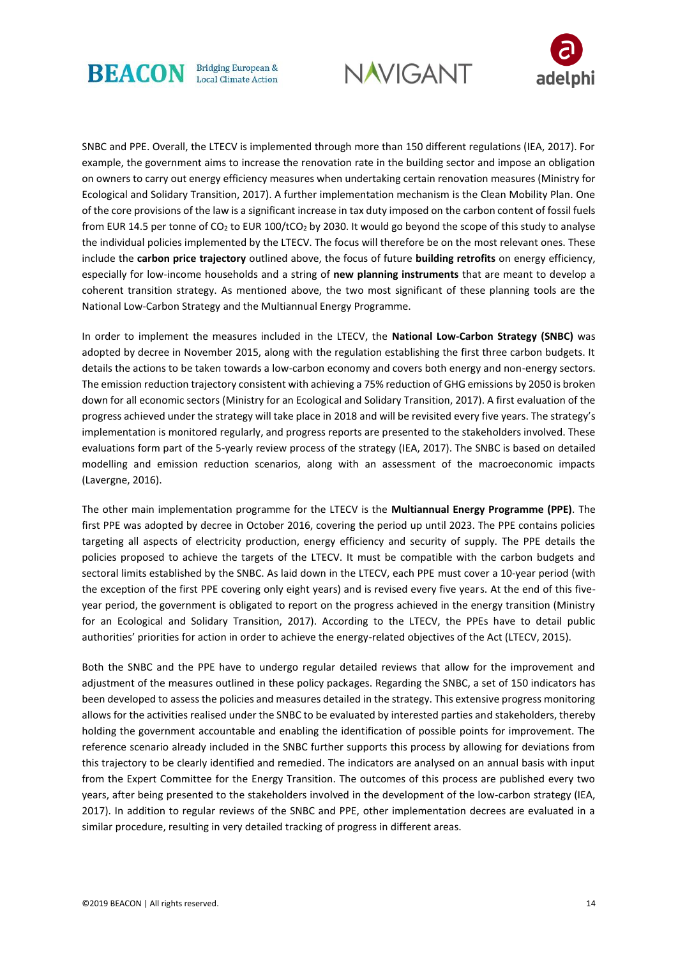





SNBC and PPE. Overall, the LTECV is implemented through more than 150 different regulations (IEA, 2017). For example, the government aims to increase the renovation rate in the building sector and impose an obligation on owners to carry out energy efficiency measures when undertaking certain renovation measures (Ministry for Ecological and Solidary Transition, 2017). A further implementation mechanism is the Clean Mobility Plan. One of the core provisions of the law is a significant increase in tax duty imposed on the carbon content of fossil fuels from EUR 14.5 per tonne of CO<sup>2</sup> to EUR 100/tCO<sup>2</sup> by 2030. It would go beyond the scope of this study to analyse the individual policies implemented by the LTECV. The focus will therefore be on the most relevant ones. These include the **carbon price trajectory** outlined above, the focus of future **building retrofits** on energy efficiency, especially for low-income households and a string of **new planning instruments** that are meant to develop a coherent transition strategy. As mentioned above, the two most significant of these planning tools are the National Low-Carbon Strategy and the Multiannual Energy Programme.

In order to implement the measures included in the LTECV, the **National Low-Carbon Strategy (SNBC)** was adopted by decree in November 2015, along with the regulation establishing the first three carbon budgets. It details the actions to be taken towards a low-carbon economy and covers both energy and non-energy sectors. The emission reduction trajectory consistent with achieving a 75% reduction of GHG emissions by 2050 is broken down for all economic sectors (Ministry for an Ecological and Solidary Transition, 2017). A first evaluation of the progress achieved under the strategy will take place in 2018 and will be revisited every five years. The strategy's implementation is monitored regularly, and progress reports are presented to the stakeholders involved. These evaluations form part of the 5-yearly review process of the strategy (IEA, 2017). The SNBC is based on detailed modelling and emission reduction scenarios, along with an assessment of the macroeconomic impacts (Lavergne, 2016).

The other main implementation programme for the LTECV is the **Multiannual Energy Programme (PPE)**. The first PPE was adopted by decree in October 2016, covering the period up until 2023. The PPE contains policies targeting all aspects of electricity production, energy efficiency and security of supply. The PPE details the policies proposed to achieve the targets of the LTECV. It must be compatible with the carbon budgets and sectoral limits established by the SNBC. As laid down in the LTECV, each PPE must cover a 10-year period (with the exception of the first PPE covering only eight years) and is revised every five years. At the end of this fiveyear period, the government is obligated to report on the progress achieved in the energy transition (Ministry for an Ecological and Solidary Transition, 2017). According to the LTECV, the PPEs have to detail public authorities' priorities for action in order to achieve the energy-related objectives of the Act (LTECV, 2015).

Both the SNBC and the PPE have to undergo regular detailed reviews that allow for the improvement and adjustment of the measures outlined in these policy packages. Regarding the SNBC, a set of 150 indicators has been developed to assess the policies and measures detailed in the strategy. This extensive progress monitoring allows for the activities realised under the SNBC to be evaluated by interested parties and stakeholders, thereby holding the government accountable and enabling the identification of possible points for improvement. The reference scenario already included in the SNBC further supports this process by allowing for deviations from this trajectory to be clearly identified and remedied. The indicators are analysed on an annual basis with input from the Expert Committee for the Energy Transition. The outcomes of this process are published every two years, after being presented to the stakeholders involved in the development of the low-carbon strategy (IEA, 2017). In addition to regular reviews of the SNBC and PPE, other implementation decrees are evaluated in a similar procedure, resulting in very detailed tracking of progress in different areas.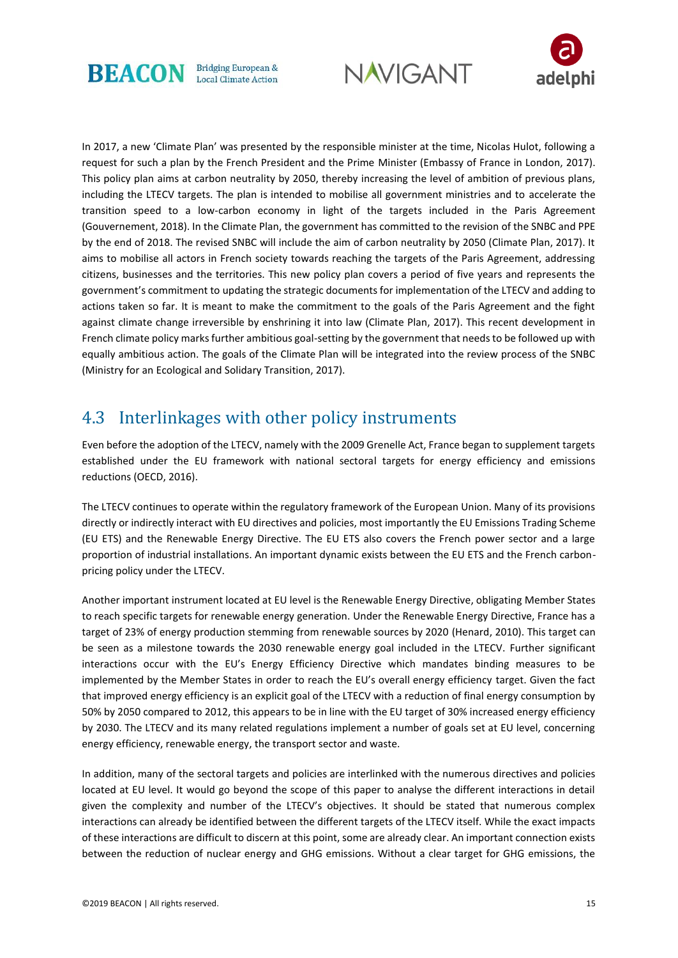





In 2017, a new 'Climate Plan' was presented by the responsible minister at the time, Nicolas Hulot, following a request for such a plan by the French President and the Prime Minister (Embassy of France in London, 2017). This policy plan aims at carbon neutrality by 2050, thereby increasing the level of ambition of previous plans, including the LTECV targets. The plan is intended to mobilise all government ministries and to accelerate the transition speed to a low-carbon economy in light of the targets included in the Paris Agreement (Gouvernement, 2018). In the Climate Plan, the government has committed to the revision of the SNBC and PPE by the end of 2018. The revised SNBC will include the aim of carbon neutrality by 2050 (Climate Plan, 2017). It aims to mobilise all actors in French society towards reaching the targets of the Paris Agreement, addressing citizens, businesses and the territories. This new policy plan covers a period of five years and represents the government's commitment to updating the strategic documents for implementation of the LTECV and adding to actions taken so far. It is meant to make the commitment to the goals of the Paris Agreement and the fight against climate change irreversible by enshrining it into law (Climate Plan, 2017). This recent development in French climate policy marks further ambitious goal-setting by the government that needs to be followed up with equally ambitious action. The goals of the Climate Plan will be integrated into the review process of the SNBC (Ministry for an Ecological and Solidary Transition, 2017).

### 4.3 Interlinkages with other policy instruments

Even before the adoption of the LTECV, namely with the 2009 Grenelle Act, France began to supplement targets established under the EU framework with national sectoral targets for energy efficiency and emissions reductions (OECD, 2016).

The LTECV continues to operate within the regulatory framework of the European Union. Many of its provisions directly or indirectly interact with EU directives and policies, most importantly the EU Emissions Trading Scheme (EU ETS) and the Renewable Energy Directive. The EU ETS also covers the French power sector and a large proportion of industrial installations. An important dynamic exists between the EU ETS and the French carbonpricing policy under the LTECV.

Another important instrument located at EU level is the Renewable Energy Directive, obligating Member States to reach specific targets for renewable energy generation. Under the Renewable Energy Directive, France has a target of 23% of energy production stemming from renewable sources by 2020 (Henard, 2010). This target can be seen as a milestone towards the 2030 renewable energy goal included in the LTECV. Further significant interactions occur with the EU's Energy Efficiency Directive which mandates binding measures to be implemented by the Member States in order to reach the EU's overall energy efficiency target. Given the fact that improved energy efficiency is an explicit goal of the LTECV with a reduction of final energy consumption by 50% by 2050 compared to 2012, this appears to be in line with the EU target of 30% increased energy efficiency by 2030. The LTECV and its many related regulations implement a number of goals set at EU level, concerning energy efficiency, renewable energy, the transport sector and waste.

In addition, many of the sectoral targets and policies are interlinked with the numerous directives and policies located at EU level. It would go beyond the scope of this paper to analyse the different interactions in detail given the complexity and number of the LTECV's objectives. It should be stated that numerous complex interactions can already be identified between the different targets of the LTECV itself. While the exact impacts of these interactions are difficult to discern at this point, some are already clear. An important connection exists between the reduction of nuclear energy and GHG emissions. Without a clear target for GHG emissions, the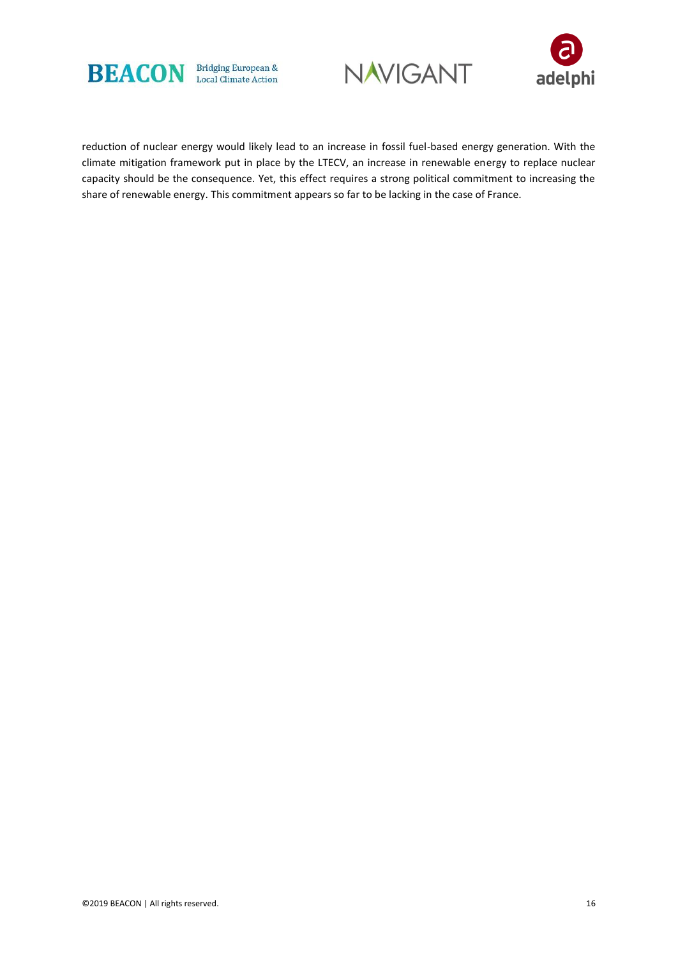





reduction of nuclear energy would likely lead to an increase in fossil fuel-based energy generation. With the climate mitigation framework put in place by the LTECV, an increase in renewable energy to replace nuclear capacity should be the consequence. Yet, this effect requires a strong political commitment to increasing the share of renewable energy. This commitment appears so far to be lacking in the case of France.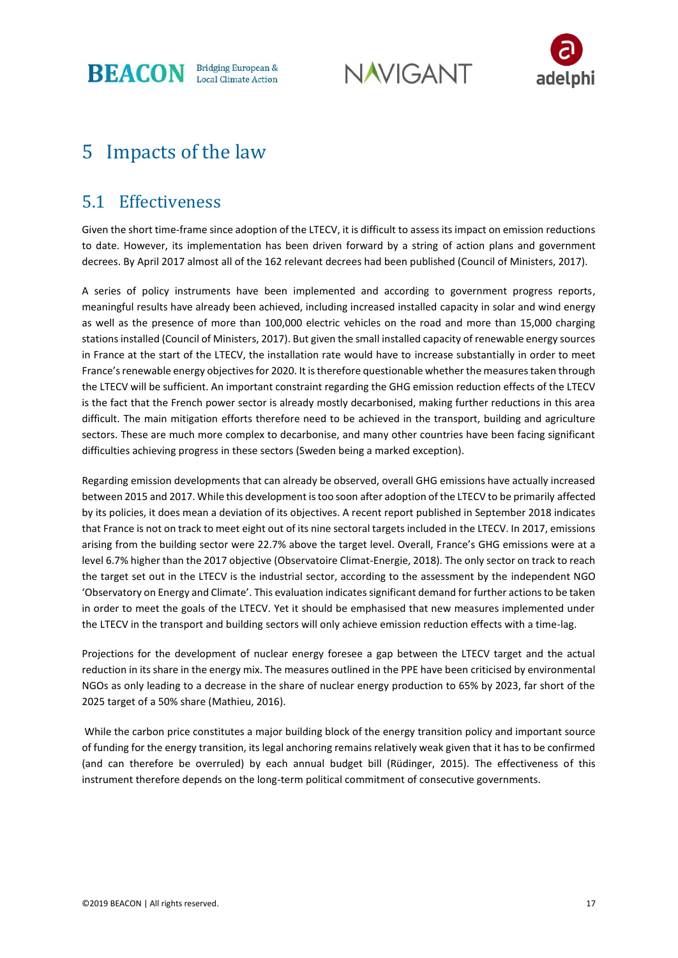**BEACON** Bridging European &





# 5 Impacts of the law

### 5.1 Effectiveness

Given the short time-frame since adoption of the LTECV, it is difficult to assess its impact on emission reductions to date. However, its implementation has been driven forward by a string of action plans and government decrees. By April 2017 almost all of the 162 relevant decrees had been published (Council of Ministers, 2017).

A series of policy instruments have been implemented and according to government progress reports, meaningful results have already been achieved, including increased installed capacity in solar and wind energy as well as the presence of more than 100,000 electric vehicles on the road and more than 15,000 charging stations installed (Council of Ministers, 2017). But given the small installed capacity of renewable energy sources in France at the start of the LTECV, the installation rate would have to increase substantially in order to meet France's renewable energy objectives for 2020. It is therefore questionable whether the measures taken through the LTECV will be sufficient. An important constraint regarding the GHG emission reduction effects of the LTECV is the fact that the French power sector is already mostly decarbonised, making further reductions in this area difficult. The main mitigation efforts therefore need to be achieved in the transport, building and agriculture sectors. These are much more complex to decarbonise, and many other countries have been facing significant difficulties achieving progress in these sectors (Sweden being a marked exception).

Regarding emission developments that can already be observed, overall GHG emissions have actually increased between 2015 and 2017. While this development is too soon after adoption of the LTECV to be primarily affected by its policies, it does mean a deviation of its objectives. A recent report published in September 2018 indicates that France is not on track to meet eight out of its nine sectoral targets included in the LTECV. In 2017, emissions arising from the building sector were 22.7% above the target level. Overall, France's GHG emissions were at a level 6.7% higher than the 2017 objective (Observatoire Climat-Energie, 2018). The only sector on track to reach the target set out in the LTECV is the industrial sector, according to the assessment by the independent NGO 'Observatory on Energy and Climate'. This evaluation indicates significant demand for further actions to be taken in order to meet the goals of the LTECV. Yet it should be emphasised that new measures implemented under the LTECV in the transport and building sectors will only achieve emission reduction effects with a time-lag.

Projections for the development of nuclear energy foresee a gap between the LTECV target and the actual reduction in its share in the energy mix. The measures outlined in the PPE have been criticised by environmental NGOs as only leading to a decrease in the share of nuclear energy production to 65% by 2023, far short of the 2025 target of a 50% share (Mathieu, 2016).

While the carbon price constitutes a major building block of the energy transition policy and important source of funding for the energy transition, its legal anchoring remains relatively weak given that it has to be confirmed (and can therefore be overruled) by each annual budget bill (Rüdinger, 2015). The effectiveness of this instrument therefore depends on the long-term political commitment of consecutive governments.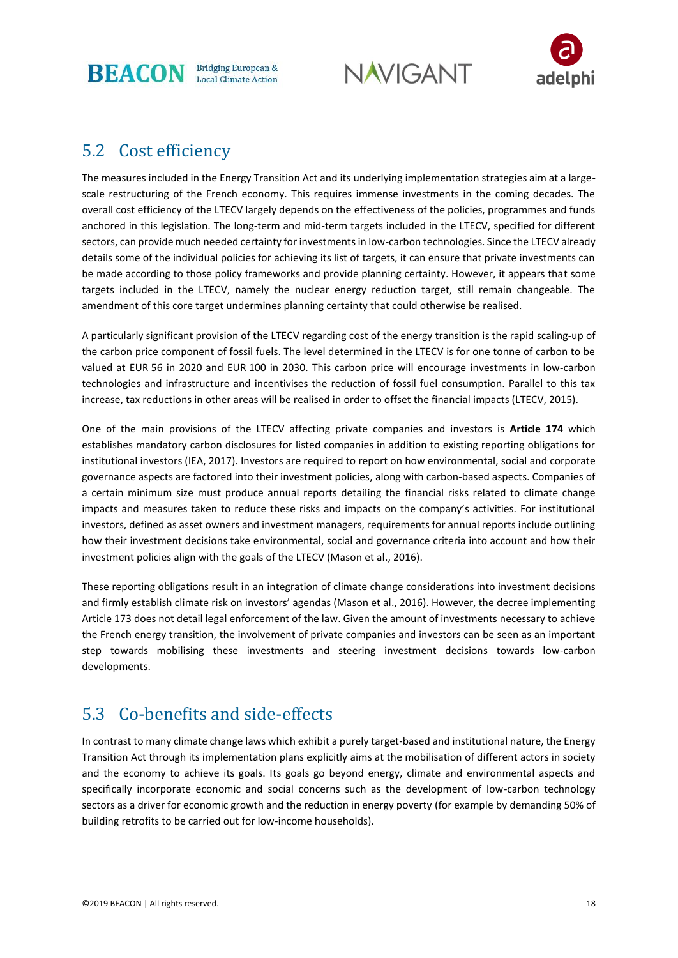**BEACON** Bridging European &

**NAVIGANT** 



### 5.2 Cost efficiency

The measures included in the Energy Transition Act and its underlying implementation strategies aim at a largescale restructuring of the French economy. This requires immense investments in the coming decades. The overall cost efficiency of the LTECV largely depends on the effectiveness of the policies, programmes and funds anchored in this legislation. The long-term and mid-term targets included in the LTECV, specified for different sectors, can provide much needed certainty for investments in low-carbon technologies. Since the LTECV already details some of the individual policies for achieving its list of targets, it can ensure that private investments can be made according to those policy frameworks and provide planning certainty. However, it appears that some targets included in the LTECV, namely the nuclear energy reduction target, still remain changeable. The amendment of this core target undermines planning certainty that could otherwise be realised.

A particularly significant provision of the LTECV regarding cost of the energy transition is the rapid scaling-up of the carbon price component of fossil fuels. The level determined in the LTECV is for one tonne of carbon to be valued at EUR 56 in 2020 and EUR 100 in 2030. This carbon price will encourage investments in low-carbon technologies and infrastructure and incentivises the reduction of fossil fuel consumption. Parallel to this tax increase, tax reductions in other areas will be realised in order to offset the financial impacts (LTECV, 2015).

One of the main provisions of the LTECV affecting private companies and investors is **Article 174** which establishes mandatory carbon disclosures for listed companies in addition to existing reporting obligations for institutional investors (IEA, 2017). Investors are required to report on how environmental, social and corporate governance aspects are factored into their investment policies, along with carbon-based aspects. Companies of a certain minimum size must produce annual reports detailing the financial risks related to climate change impacts and measures taken to reduce these risks and impacts on the company's activities. For institutional investors, defined as asset owners and investment managers, requirements for annual reports include outlining how their investment decisions take environmental, social and governance criteria into account and how their investment policies align with the goals of the LTECV (Mason et al., 2016).

These reporting obligations result in an integration of climate change considerations into investment decisions and firmly establish climate risk on investors' agendas (Mason et al., 2016). However, the decree implementing Article 173 does not detail legal enforcement of the law. Given the amount of investments necessary to achieve the French energy transition, the involvement of private companies and investors can be seen as an important step towards mobilising these investments and steering investment decisions towards low-carbon developments.

# 5.3 Co-benefits and side-effects

In contrast to many climate change laws which exhibit a purely target-based and institutional nature, the Energy Transition Act through its implementation plans explicitly aims at the mobilisation of different actors in society and the economy to achieve its goals. Its goals go beyond energy, climate and environmental aspects and specifically incorporate economic and social concerns such as the development of low-carbon technology sectors as a driver for economic growth and the reduction in energy poverty (for example by demanding 50% of building retrofits to be carried out for low-income households).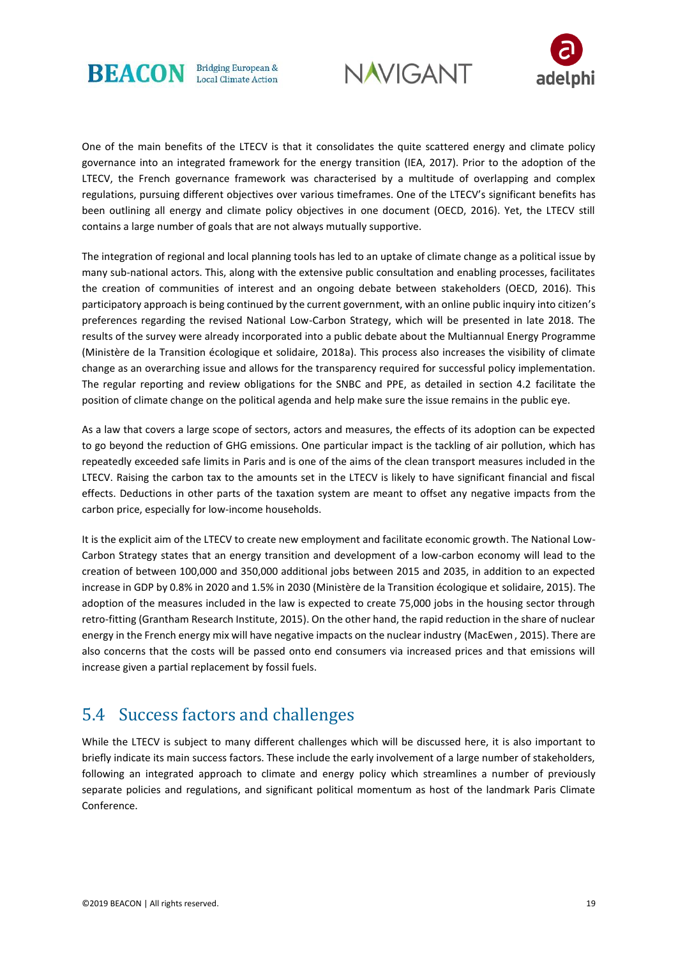





One of the main benefits of the LTECV is that it consolidates the quite scattered energy and climate policy governance into an integrated framework for the energy transition (IEA, 2017). Prior to the adoption of the LTECV, the French governance framework was characterised by a multitude of overlapping and complex regulations, pursuing different objectives over various timeframes. One of the LTECV's significant benefits has been outlining all energy and climate policy objectives in one document (OECD, 2016). Yet, the LTECV still contains a large number of goals that are not always mutually supportive.

The integration of regional and local planning tools has led to an uptake of climate change as a political issue by many sub-national actors. This, along with the extensive public consultation and enabling processes, facilitates the creation of communities of interest and an ongoing debate between stakeholders (OECD, 2016). This participatory approach is being continued by the current government, with an online public inquiry into citizen's preferences regarding the revised National Low-Carbon Strategy, which will be presented in late 2018. The results of the survey were already incorporated into a public debate about the Multiannual Energy Programme (Ministère de la Transition écologique et solidaire, 2018a). This process also increases the visibility of climate change as an overarching issue and allows for the transparency required for successful policy implementation. The regular reporting and review obligations for the SNBC and PPE, as detailed in section 4.2 facilitate the position of climate change on the political agenda and help make sure the issue remains in the public eye.

As a law that covers a large scope of sectors, actors and measures, the effects of its adoption can be expected to go beyond the reduction of GHG emissions. One particular impact is the tackling of air pollution, which has repeatedly exceeded safe limits in Paris and is one of the aims of the clean transport measures included in the LTECV. Raising the carbon tax to the amounts set in the LTECV is likely to have significant financial and fiscal effects. Deductions in other parts of the taxation system are meant to offset any negative impacts from the carbon price, especially for low-income households.

It is the explicit aim of the LTECV to create new employment and facilitate economic growth. The National Low-Carbon Strategy states that an energy transition and development of a low-carbon economy will lead to the creation of between 100,000 and 350,000 additional jobs between 2015 and 2035, in addition to an expected increase in GDP by 0.8% in 2020 and 1.5% in 2030 (Ministère de la Transition écologique et solidaire, 2015). The adoption of the measures included in the law is expected to create 75,000 jobs in the housing sector through retro-fitting (Grantham Research Institute, 2015). On the other hand, the rapid reduction in the share of nuclear energy in the French energy mix will have negative impacts on the nuclear industry (MacEwen , 2015). There are also concerns that the costs will be passed onto end consumers via increased prices and that emissions will increase given a partial replacement by fossil fuels.

### 5.4 Success factors and challenges

While the LTECV is subject to many different challenges which will be discussed here, it is also important to briefly indicate its main success factors. These include the early involvement of a large number of stakeholders, following an integrated approach to climate and energy policy which streamlines a number of previously separate policies and regulations, and significant political momentum as host of the landmark Paris Climate Conference.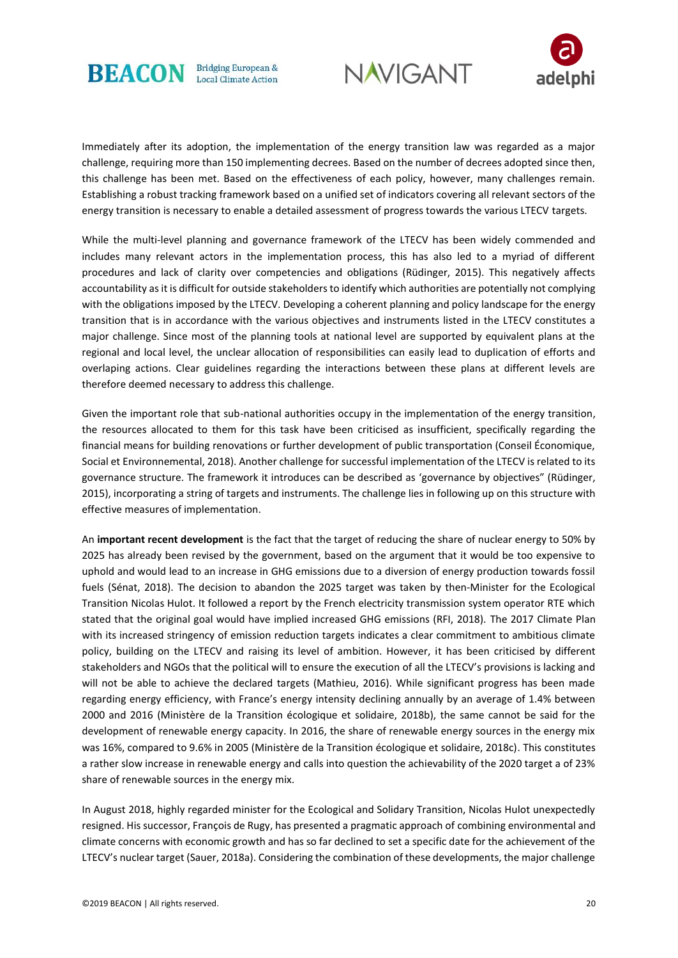





Immediately after its adoption, the implementation of the energy transition law was regarded as a major challenge, requiring more than 150 implementing decrees. Based on the number of decrees adopted since then, this challenge has been met. Based on the effectiveness of each policy, however, many challenges remain. Establishing a robust tracking framework based on a unified set of indicators covering all relevant sectors of the energy transition is necessary to enable a detailed assessment of progress towards the various LTECV targets.

While the multi-level planning and governance framework of the LTECV has been widely commended and includes many relevant actors in the implementation process, this has also led to a myriad of different procedures and lack of clarity over competencies and obligations (Rüdinger, 2015). This negatively affects accountability as it is difficult for outside stakeholders to identify which authorities are potentially not complying with the obligations imposed by the LTECV. Developing a coherent planning and policy landscape for the energy transition that is in accordance with the various objectives and instruments listed in the LTECV constitutes a major challenge. Since most of the planning tools at national level are supported by equivalent plans at the regional and local level, the unclear allocation of responsibilities can easily lead to duplication of efforts and overlaping actions. Clear guidelines regarding the interactions between these plans at different levels are therefore deemed necessary to address this challenge.

Given the important role that sub-national authorities occupy in the implementation of the energy transition, the resources allocated to them for this task have been criticised as insufficient, specifically regarding the financial means for building renovations or further development of public transportation (Conseil Économique, Social et Environnemental, 2018). Another challenge for successful implementation of the LTECV is related to its governance structure. The framework it introduces can be described as 'governance by objectives" (Rüdinger, 2015), incorporating a string of targets and instruments. The challenge lies in following up on this structure with effective measures of implementation.

An **important recent development** is the fact that the target of reducing the share of nuclear energy to 50% by 2025 has already been revised by the government, based on the argument that it would be too expensive to uphold and would lead to an increase in GHG emissions due to a diversion of energy production towards fossil fuels (Sénat, 2018). The decision to abandon the 2025 target was taken by then-Minister for the Ecological Transition Nicolas Hulot. It followed a report by the French electricity transmission system operator RTE which stated that the original goal would have implied increased GHG emissions (RFI, 2018). The 2017 Climate Plan with its increased stringency of emission reduction targets indicates a clear commitment to ambitious climate policy, building on the LTECV and raising its level of ambition. However, it has been criticised by different stakeholders and NGOs that the political will to ensure the execution of all the LTECV's provisions is lacking and will not be able to achieve the declared targets (Mathieu, 2016). While significant progress has been made regarding energy efficiency, with France's energy intensity declining annually by an average of 1.4% between 2000 and 2016 (Ministère de la Transition écologique et solidaire, 2018b), the same cannot be said for the development of renewable energy capacity. In 2016, the share of renewable energy sources in the energy mix was 16%, compared to 9.6% in 2005 (Ministère de la Transition écologique et solidaire, 2018c). This constitutes a rather slow increase in renewable energy and calls into question the achievability of the 2020 target a of 23% share of renewable sources in the energy mix.

In August 2018, highly regarded minister for the Ecological and Solidary Transition, Nicolas Hulot unexpectedly resigned. His successor, François de Rugy, has presented a pragmatic approach of combining environmental and climate concerns with economic growth and has so far declined to set a specific date for the achievement of the LTECV's nuclear target (Sauer, 2018a). Considering the combination of these developments, the major challenge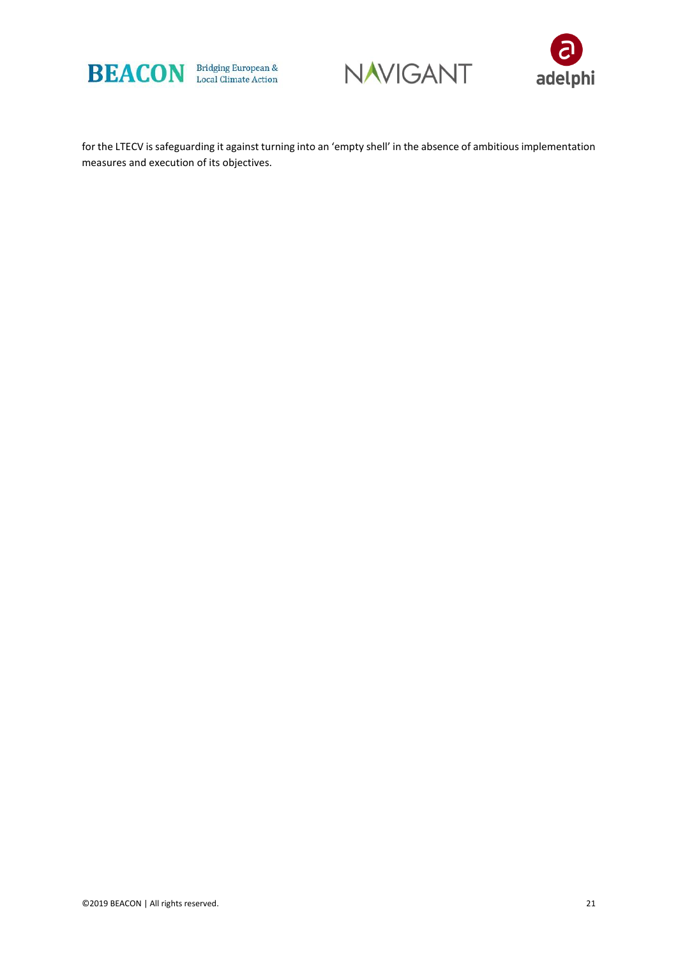





for the LTECV is safeguarding it against turning into an 'empty shell' in the absence of ambitious implementation measures and execution of its objectives.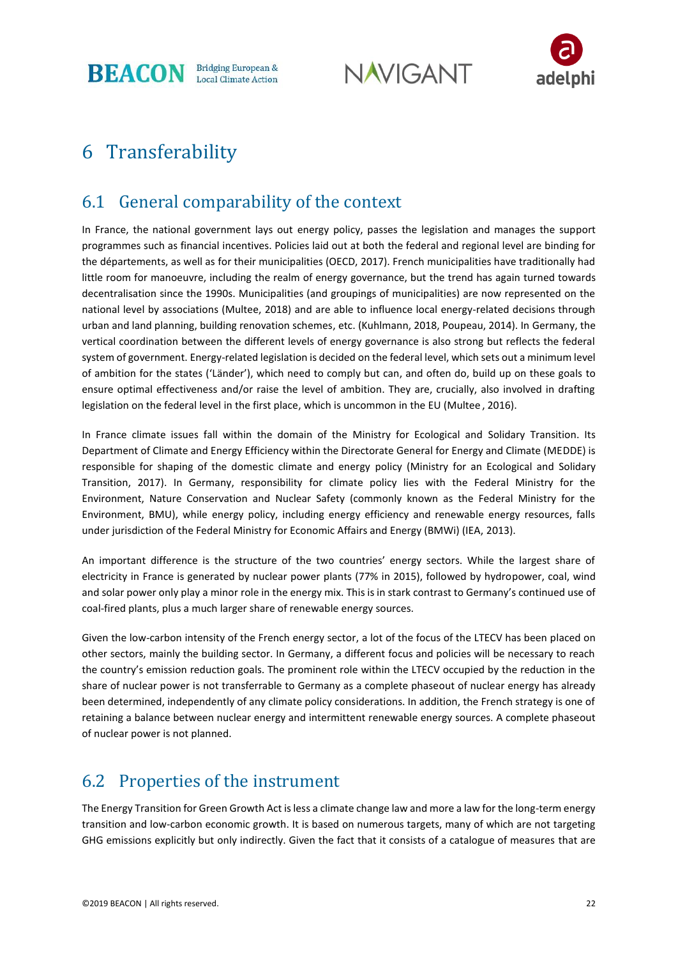**BEACON** Bridging European &

**NAVIGANT** 



# 6 Transferability

# 6.1 General comparability of the context

In France, the national government lays out energy policy, passes the legislation and manages the support programmes such as financial incentives. Policies laid out at both the federal and regional level are binding for the départements, as well as for their municipalities (OECD, 2017). French municipalities have traditionally had little room for manoeuvre, including the realm of energy governance, but the trend has again turned towards decentralisation since the 1990s. Municipalities (and groupings of municipalities) are now represented on the national level by associations (Multee, 2018) and are able to influence local energy-related decisions through urban and land planning, building renovation schemes, etc. (Kuhlmann, 2018, Poupeau, 2014). In Germany, the vertical coordination between the different levels of energy governance is also strong but reflects the federal system of government. Energy-related legislation is decided on the federal level, which sets out a minimum level of ambition for the states ('Länder'), which need to comply but can, and often do, build up on these goals to ensure optimal effectiveness and/or raise the level of ambition. They are, crucially, also involved in drafting legislation on the federal level in the first place, which is uncommon in the EU (Multee , 2016).

In France climate issues fall within the domain of the Ministry for Ecological and Solidary Transition. Its Department of Climate and Energy Efficiency within the Directorate General for Energy and Climate (MEDDE) is responsible for shaping of the domestic climate and energy policy (Ministry for an Ecological and Solidary Transition, 2017). In Germany, responsibility for climate policy lies with the Federal Ministry for the Environment, Nature Conservation and Nuclear Safety (commonly known as the Federal Ministry for the Environment, BMU), while energy policy, including energy efficiency and renewable energy resources, falls under jurisdiction of the Federal Ministry for Economic Affairs and Energy (BMWi) (IEA, 2013).

An important difference is the structure of the two countries' energy sectors. While the largest share of electricity in France is generated by nuclear power plants (77% in 2015), followed by hydropower, coal, wind and solar power only play a minor role in the energy mix. This is in stark contrast to Germany's continued use of coal-fired plants, plus a much larger share of renewable energy sources.

Given the low-carbon intensity of the French energy sector, a lot of the focus of the LTECV has been placed on other sectors, mainly the building sector. In Germany, a different focus and policies will be necessary to reach the country's emission reduction goals. The prominent role within the LTECV occupied by the reduction in the share of nuclear power is not transferrable to Germany as a complete phaseout of nuclear energy has already been determined, independently of any climate policy considerations. In addition, the French strategy is one of retaining a balance between nuclear energy and intermittent renewable energy sources. A complete phaseout of nuclear power is not planned.

# 6.2 Properties of the instrument

The Energy Transition for Green Growth Act is less a climate change law and more a law for the long-term energy transition and low-carbon economic growth. It is based on numerous targets, many of which are not targeting GHG emissions explicitly but only indirectly. Given the fact that it consists of a catalogue of measures that are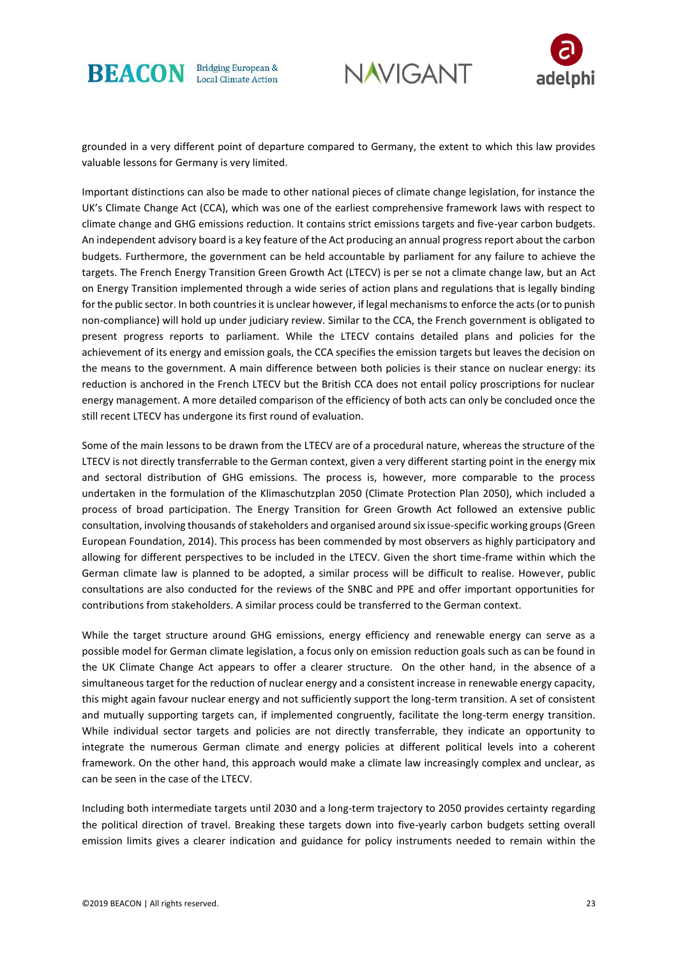





grounded in a very different point of departure compared to Germany, the extent to which this law provides valuable lessons for Germany is very limited.

Important distinctions can also be made to other national pieces of climate change legislation, for instance the UK's Climate Change Act (CCA), which was one of the earliest comprehensive framework laws with respect to climate change and GHG emissions reduction. It contains strict emissions targets and five-year carbon budgets. An independent advisory board is a key feature of the Act producing an annual progress report about the carbon budgets. Furthermore, the government can be held accountable by parliament for any failure to achieve the targets. The French Energy Transition Green Growth Act (LTECV) is per se not a climate change law, but an Act on Energy Transition implemented through a wide series of action plans and regulations that is legally binding for the public sector. In both countries it is unclear however, if legal mechanisms to enforce the acts (or to punish non-compliance) will hold up under judiciary review. Similar to the CCA, the French government is obligated to present progress reports to parliament. While the LTECV contains detailed plans and policies for the achievement of its energy and emission goals, the CCA specifies the emission targets but leaves the decision on the means to the government. A main difference between both policies is their stance on nuclear energy: its reduction is anchored in the French LTECV but the British CCA does not entail policy proscriptions for nuclear energy management. A more detailed comparison of the efficiency of both acts can only be concluded once the still recent LTECV has undergone its first round of evaluation.

Some of the main lessons to be drawn from the LTECV are of a procedural nature, whereas the structure of the LTECV is not directly transferrable to the German context, given a very different starting point in the energy mix and sectoral distribution of GHG emissions. The process is, however, more comparable to the process undertaken in the formulation of the Klimaschutzplan 2050 (Climate Protection Plan 2050), which included a process of broad participation. The Energy Transition for Green Growth Act followed an extensive public consultation, involving thousands of stakeholders and organised around six issue-specific working groups (Green European Foundation, 2014). This process has been commended by most observers as highly participatory and allowing for different perspectives to be included in the LTECV. Given the short time-frame within which the German climate law is planned to be adopted, a similar process will be difficult to realise. However, public consultations are also conducted for the reviews of the SNBC and PPE and offer important opportunities for contributions from stakeholders. A similar process could be transferred to the German context.

While the target structure around GHG emissions, energy efficiency and renewable energy can serve as a possible model for German climate legislation, a focus only on emission reduction goals such as can be found in the UK Climate Change Act appears to offer a clearer structure. On the other hand, in the absence of a simultaneous target for the reduction of nuclear energy and a consistent increase in renewable energy capacity, this might again favour nuclear energy and not sufficiently support the long-term transition. A set of consistent and mutually supporting targets can, if implemented congruently, facilitate the long-term energy transition. While individual sector targets and policies are not directly transferrable, they indicate an opportunity to integrate the numerous German climate and energy policies at different political levels into a coherent framework. On the other hand, this approach would make a climate law increasingly complex and unclear, as can be seen in the case of the LTECV.

Including both intermediate targets until 2030 and a long-term trajectory to 2050 provides certainty regarding the political direction of travel. Breaking these targets down into five-yearly carbon budgets setting overall emission limits gives a clearer indication and guidance for policy instruments needed to remain within the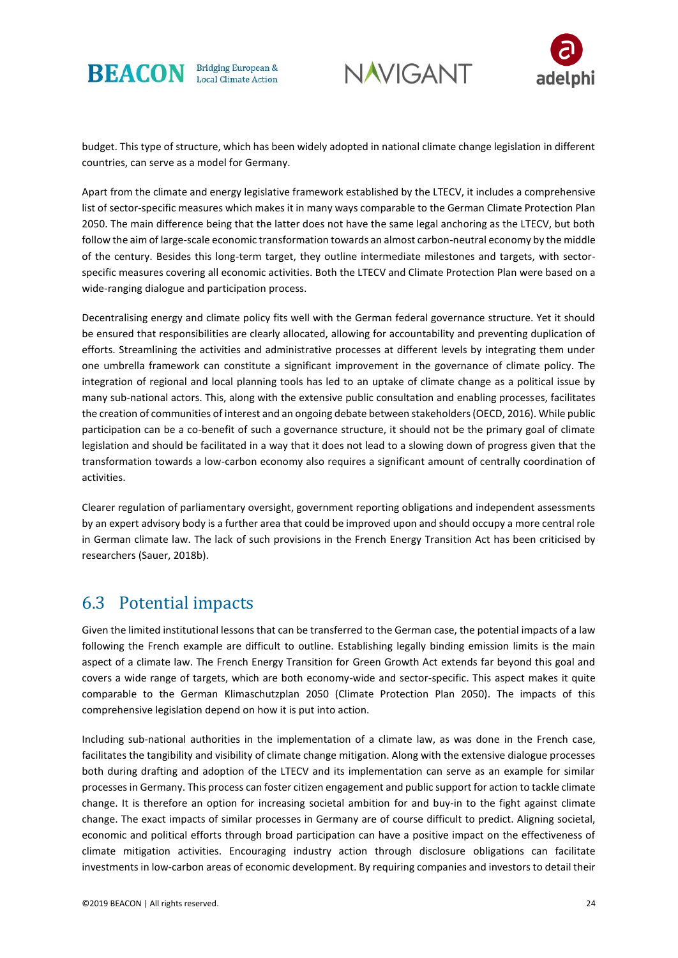





budget. This type of structure, which has been widely adopted in national climate change legislation in different countries, can serve as a model for Germany.

Apart from the climate and energy legislative framework established by the LTECV, it includes a comprehensive list of sector-specific measures which makes it in many ways comparable to the German Climate Protection Plan 2050. The main difference being that the latter does not have the same legal anchoring as the LTECV, but both follow the aim of large-scale economic transformation towards an almost carbon-neutral economy by the middle of the century. Besides this long-term target, they outline intermediate milestones and targets, with sectorspecific measures covering all economic activities. Both the LTECV and Climate Protection Plan were based on a wide-ranging dialogue and participation process.

Decentralising energy and climate policy fits well with the German federal governance structure. Yet it should be ensured that responsibilities are clearly allocated, allowing for accountability and preventing duplication of efforts. Streamlining the activities and administrative processes at different levels by integrating them under one umbrella framework can constitute a significant improvement in the governance of climate policy. The integration of regional and local planning tools has led to an uptake of climate change as a political issue by many sub-national actors. This, along with the extensive public consultation and enabling processes, facilitates the creation of communities of interest and an ongoing debate between stakeholders (OECD, 2016). While public participation can be a co-benefit of such a governance structure, it should not be the primary goal of climate legislation and should be facilitated in a way that it does not lead to a slowing down of progress given that the transformation towards a low-carbon economy also requires a significant amount of centrally coordination of activities.

Clearer regulation of parliamentary oversight, government reporting obligations and independent assessments by an expert advisory body is a further area that could be improved upon and should occupy a more central role in German climate law. The lack of such provisions in the French Energy Transition Act has been criticised by researchers (Sauer, 2018b).

### 6.3 Potential impacts

Given the limited institutional lessons that can be transferred to the German case, the potential impacts of a law following the French example are difficult to outline. Establishing legally binding emission limits is the main aspect of a climate law. The French Energy Transition for Green Growth Act extends far beyond this goal and covers a wide range of targets, which are both economy-wide and sector-specific. This aspect makes it quite comparable to the German Klimaschutzplan 2050 (Climate Protection Plan 2050). The impacts of this comprehensive legislation depend on how it is put into action.

Including sub-national authorities in the implementation of a climate law, as was done in the French case, facilitates the tangibility and visibility of climate change mitigation. Along with the extensive dialogue processes both during drafting and adoption of the LTECV and its implementation can serve as an example for similar processes in Germany. This process can foster citizen engagement and public support for action to tackle climate change. It is therefore an option for increasing societal ambition for and buy-in to the fight against climate change. The exact impacts of similar processes in Germany are of course difficult to predict. Aligning societal, economic and political efforts through broad participation can have a positive impact on the effectiveness of climate mitigation activities. Encouraging industry action through disclosure obligations can facilitate investments in low-carbon areas of economic development. By requiring companies and investors to detail their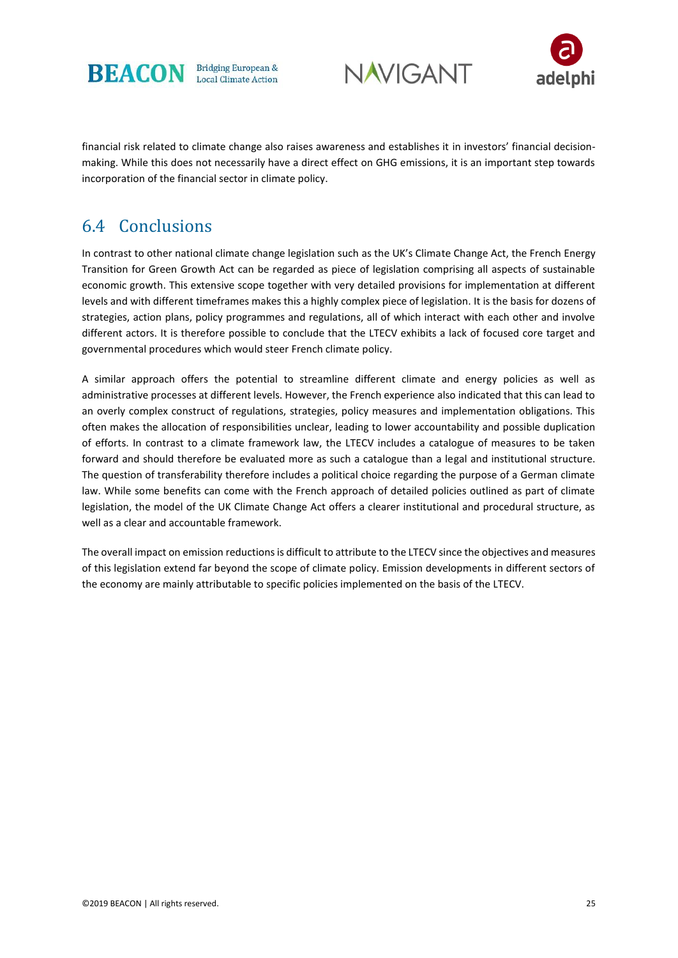





financial risk related to climate change also raises awareness and establishes it in investors' financial decisionmaking. While this does not necessarily have a direct effect on GHG emissions, it is an important step towards incorporation of the financial sector in climate policy.

# 6.4 Conclusions

In contrast to other national climate change legislation such as the UK's Climate Change Act, the French Energy Transition for Green Growth Act can be regarded as piece of legislation comprising all aspects of sustainable economic growth. This extensive scope together with very detailed provisions for implementation at different levels and with different timeframes makes this a highly complex piece of legislation. It is the basis for dozens of strategies, action plans, policy programmes and regulations, all of which interact with each other and involve different actors. It is therefore possible to conclude that the LTECV exhibits a lack of focused core target and governmental procedures which would steer French climate policy.

A similar approach offers the potential to streamline different climate and energy policies as well as administrative processes at different levels. However, the French experience also indicated that this can lead to an overly complex construct of regulations, strategies, policy measures and implementation obligations. This often makes the allocation of responsibilities unclear, leading to lower accountability and possible duplication of efforts. In contrast to a climate framework law, the LTECV includes a catalogue of measures to be taken forward and should therefore be evaluated more as such a catalogue than a legal and institutional structure. The question of transferability therefore includes a political choice regarding the purpose of a German climate law. While some benefits can come with the French approach of detailed policies outlined as part of climate legislation, the model of the UK Climate Change Act offers a clearer institutional and procedural structure, as well as a clear and accountable framework.

The overall impact on emission reductions is difficult to attribute to the LTECV since the objectives and measures of this legislation extend far beyond the scope of climate policy. Emission developments in different sectors of the economy are mainly attributable to specific policies implemented on the basis of the LTECV.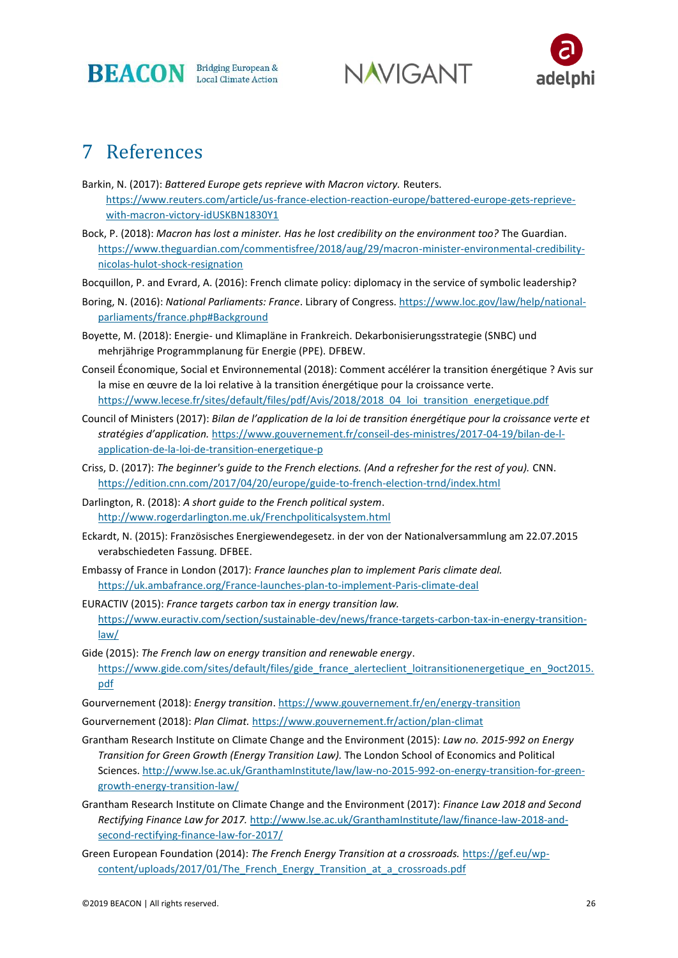

**NAVIGANT** 



# 7 References

- Barkin, N. (2017): *Battered Europe gets reprieve with Macron victory.* Reuters. [https://www.reuters.com/article/us-france-election-reaction-europe/battered-europe-gets-reprieve](https://www.reuters.com/article/us-france-election-reaction-europe/battered-europe-gets-reprieve-with-macron-victory-idUSKBN1830Y1)[with-macron-victory-idUSKBN1830Y1](https://www.reuters.com/article/us-france-election-reaction-europe/battered-europe-gets-reprieve-with-macron-victory-idUSKBN1830Y1)
- Bock, P. (2018): *Macron has lost a minister. Has he lost credibility on the environment too?* The Guardian. [https://www.theguardian.com/commentisfree/2018/aug/29/macron-minister-environmental-credibility](https://www.theguardian.com/commentisfree/2018/aug/29/macron-minister-environmental-credibility-nicolas-hulot-shock-resignation)[nicolas-hulot-shock-resignation](https://www.theguardian.com/commentisfree/2018/aug/29/macron-minister-environmental-credibility-nicolas-hulot-shock-resignation)
- Bocquillon, P. and Evrard, A. (2016): French climate policy: diplomacy in the service of symbolic leadership?
- Boring, N. (2016): *National Parliaments: France*. Library of Congress. [https://www.loc.gov/law/help/national](https://www.loc.gov/law/help/national-parliaments/france.php#Background)[parliaments/france.php#Background](https://www.loc.gov/law/help/national-parliaments/france.php#Background)
- Boyette, M. (2018): Energie- und Klimapläne in Frankreich. Dekarbonisierungsstrategie (SNBC) und mehrjährige Programmplanung für Energie (PPE). DFBEW.
- Conseil Économique, Social et Environnemental (2018): Comment accélérer la transition énergétique ? Avis sur la mise en œuvre de la loi relative à la transition énergétique pour la croissance verte. [https://www.lecese.fr/sites/default/files/pdf/Avis/2018/2018\\_04\\_loi\\_transition\\_energetique.pdf](https://www.lecese.fr/sites/default/files/pdf/Avis/2018/2018_04_loi_transition_energetique.pdf)
- Council of Ministers (2017): *Bilan de l'application de la loi de transition énergétique pour la croissance verte et stratégies d'application.* [https://www.gouvernement.fr/conseil-des-ministres/2017-04-19/bilan-de-l](https://www.gouvernement.fr/conseil-des-ministres/2017-04-19/bilan-de-l-application-de-la-loi-de-transition-energetique-p)[application-de-la-loi-de-transition-energetique-p](https://www.gouvernement.fr/conseil-des-ministres/2017-04-19/bilan-de-l-application-de-la-loi-de-transition-energetique-p)
- Criss, D. (2017): *The beginner's guide to the French elections. (And a refresher for the rest of you).* CNN. <https://edition.cnn.com/2017/04/20/europe/guide-to-french-election-trnd/index.html>
- Darlington, R. (2018): *A short guide to the French political system*. <http://www.rogerdarlington.me.uk/Frenchpoliticalsystem.html>
- Eckardt, N. (2015): Französisches Energiewendegesetz. in der von der Nationalversammlung am 22.07.2015 verabschiedeten Fassung. DFBEE.
- Embassy of France in London (2017): *France launches plan to implement Paris climate deal.*  <https://uk.ambafrance.org/France-launches-plan-to-implement-Paris-climate-deal>
- EURACTIV (2015): *France targets carbon tax in energy transition law.*  [https://www.euractiv.com/section/sustainable-dev/news/france-targets-carbon-tax-in-energy-transition](https://www.euractiv.com/section/sustainable-dev/news/france-targets-carbon-tax-in-energy-transition-law/)[law/](https://www.euractiv.com/section/sustainable-dev/news/france-targets-carbon-tax-in-energy-transition-law/)
- Gide (2015): *The French law on energy transition and renewable energy*. [https://www.gide.com/sites/default/files/gide\\_france\\_alerteclient\\_loitransitionenergetique\\_en\\_9oct2015.](https://www.gide.com/sites/default/files/gide_france_alerteclient_loitransitionenergetique_en_9oct2015.pdf) [pdf](https://www.gide.com/sites/default/files/gide_france_alerteclient_loitransitionenergetique_en_9oct2015.pdf)
- Gourvernement (2018): *Energy transition*[. https://www.gouvernement.fr/en/energy-transition](https://www.gouvernement.fr/en/energy-transition)
- Gourvernement (2018): *Plan Climat.* <https://www.gouvernement.fr/action/plan-climat>
- Grantham Research Institute on Climate Change and the Environment (2015): *Law no. 2015-992 on Energy Transition for Green Growth (Energy Transition Law).* The London School of Economics and Political Sciences. [http://www.lse.ac.uk/GranthamInstitute/law/law-no-2015-992-on-energy-transition-for-green](http://www.lse.ac.uk/GranthamInstitute/law/law-no-2015-992-on-energy-transition-for-green-growth-energy-transition-law/)[growth-energy-transition-law/](http://www.lse.ac.uk/GranthamInstitute/law/law-no-2015-992-on-energy-transition-for-green-growth-energy-transition-law/)
- Grantham Research Institute on Climate Change and the Environment (2017): *Finance Law 2018 and Second Rectifying Finance Law for 2017.* [http://www.lse.ac.uk/GranthamInstitute/law/finance-law-2018-and](http://www.lse.ac.uk/GranthamInstitute/law/finance-law-2018-and-second-rectifying-finance-law-for-2017/)[second-rectifying-finance-law-for-2017/](http://www.lse.ac.uk/GranthamInstitute/law/finance-law-2018-and-second-rectifying-finance-law-for-2017/)
- Green European Foundation (2014): *The French Energy Transition at a crossroads.* [https://gef.eu/wp](https://gef.eu/wp-content/uploads/2017/01/The_French_Energy_Transition_at_a_crossroads.pdf)content/uploads/2017/01/The French Energy Transition at a crossroads.pdf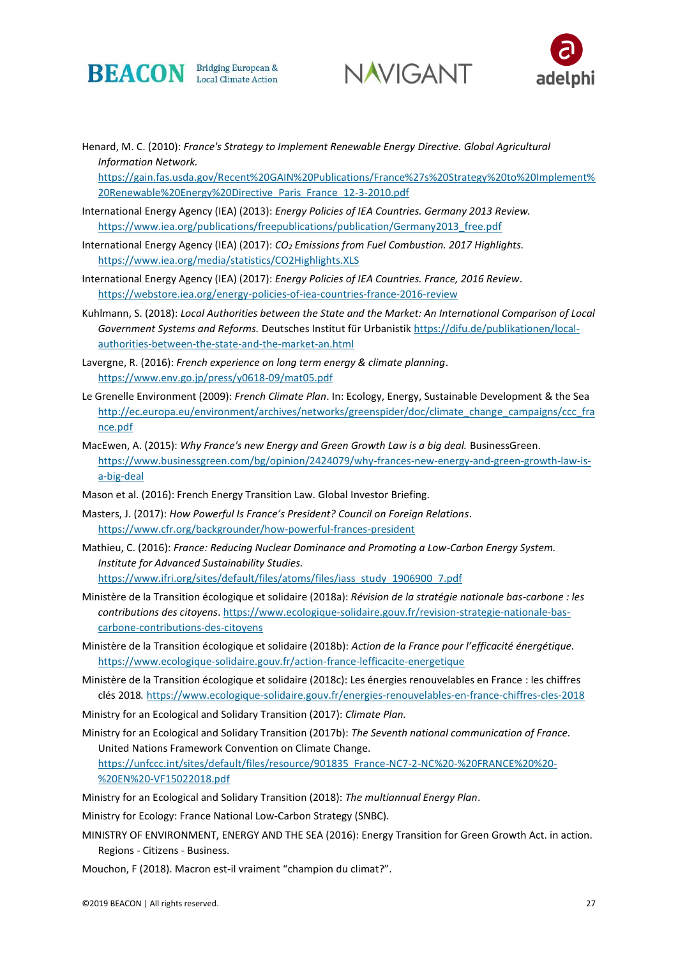





Henard, M. C. (2010): *France's Strategy to Implement Renewable Energy Directive. Global Agricultural Information Network.* 

[https://gain.fas.usda.gov/Recent%20GAIN%20Publications/France%27s%20Strategy%20to%20Implement%](https://gain.fas.usda.gov/Recent%20GAIN%20Publications/France%27s%20Strategy%20to%20Implement%20Renewable%20Energy%20Directive_Paris_France_12-3-2010.pdf) [20Renewable%20Energy%20Directive\\_Paris\\_France\\_12-3-2010.pdf](https://gain.fas.usda.gov/Recent%20GAIN%20Publications/France%27s%20Strategy%20to%20Implement%20Renewable%20Energy%20Directive_Paris_France_12-3-2010.pdf)

- International Energy Agency (IEA) (2013): *Energy Policies of IEA Countries. Germany 2013 Review.*  [https://www.iea.org/publications/freepublications/publication/Germany2013\\_free.pdf](https://www.iea.org/publications/freepublications/publication/Germany2013_free.pdf)
- International Energy Agency (IEA) (2017): *CO<sup>2</sup> Emissions from Fuel Combustion. 2017 Highlights.*  <https://www.iea.org/media/statistics/CO2Highlights.XLS>
- International Energy Agency (IEA) (2017): *Energy Policies of IEA Countries. France, 2016 Review*. <https://webstore.iea.org/energy-policies-of-iea-countries-france-2016-review>
- Kuhlmann, S. (2018): *Local Authorities between the State and the Market: An International Comparison of Local Government Systems and Reforms.* Deutsches Institut für Urbanistik [https://difu.de/publikationen/local](https://difu.de/publikationen/local-authorities-between-the-state-and-the-market-an.html)[authorities-between-the-state-and-the-market-an.html](https://difu.de/publikationen/local-authorities-between-the-state-and-the-market-an.html)
- Lavergne, R. (2016): *French experience on long term energy & climate planning*. <https://www.env.go.jp/press/y0618-09/mat05.pdf>
- Le Grenelle Environment (2009): *French Climate Plan*. In: Ecology, Energy, Sustainable Development & the Sea [http://ec.europa.eu/environment/archives/networks/greenspider/doc/climate\\_change\\_campaigns/ccc\\_fra](http://ec.europa.eu/environment/archives/networks/greenspider/doc/climate_change_campaigns/ccc_france.pdf) [nce.pdf](http://ec.europa.eu/environment/archives/networks/greenspider/doc/climate_change_campaigns/ccc_france.pdf)
- MacEwen, A. (2015): *Why France's new Energy and Green Growth Law is a big deal.* BusinessGreen. [https://www.businessgreen.com/bg/opinion/2424079/why-frances-new-energy-and-green-growth-law-is](https://www.businessgreen.com/bg/opinion/2424079/why-frances-new-energy-and-green-growth-law-is-a-big-deal)[a-big-deal](https://www.businessgreen.com/bg/opinion/2424079/why-frances-new-energy-and-green-growth-law-is-a-big-deal)
- Mason et al. (2016): French Energy Transition Law. Global Investor Briefing.
- Masters, J. (2017): *How Powerful Is France's President? Council on Foreign Relations*. <https://www.cfr.org/backgrounder/how-powerful-frances-president>
- Mathieu, C. (2016): *France: Reducing Nuclear Dominance and Promoting a Low-Carbon Energy System. Institute for Advanced Sustainability Studies.* [https://www.ifri.org/sites/default/files/atoms/files/iass\\_study\\_1906900\\_7.pdf](https://www.ifri.org/sites/default/files/atoms/files/iass_study_1906900_7.pdf)
- Ministère de la Transition écologique et solidaire (2018a): *Révision de la stratégie nationale bas-carbone : les contributions des citoyens*. [https://www.ecologique-solidaire.gouv.fr/revision-strategie-nationale-bas](https://www.ecologique-solidaire.gouv.fr/revision-strategie-nationale-bas-carbone-contributions-des-citoyens)[carbone-contributions-des-citoyens](https://www.ecologique-solidaire.gouv.fr/revision-strategie-nationale-bas-carbone-contributions-des-citoyens)
- Ministère de la Transition écologique et solidaire (2018b): *Action de la France pour l'efficacité énergétique.* <https://www.ecologique-solidaire.gouv.fr/action-france-lefficacite-energetique>
- Ministère de la Transition écologique et solidaire (2018c): Les énergies renouvelables en France : les chiffres clés 2018*.* <https://www.ecologique-solidaire.gouv.fr/energies-renouvelables-en-france-chiffres-cles-2018>
- Ministry for an Ecological and Solidary Transition (2017): *Climate Plan.*
- Ministry for an Ecological and Solidary Transition (2017b): *The Seventh national communication of France.* United Nations Framework Convention on Climate Change. [https://unfccc.int/sites/default/files/resource/901835\\_France-NC7-2-NC%20-%20FRANCE%20%20-](https://unfccc.int/sites/default/files/resource/901835_France-NC7-2-NC%20-%20FRANCE%20%20-%20EN%20-VF15022018.pdf) [%20EN%20-VF15022018.pdf](https://unfccc.int/sites/default/files/resource/901835_France-NC7-2-NC%20-%20FRANCE%20%20-%20EN%20-VF15022018.pdf)
- Ministry for an Ecological and Solidary Transition (2018): *The multiannual Energy Plan*.

Ministry for Ecology: France National Low-Carbon Strategy (SNBC).

- MINISTRY OF ENVIRONMENT, ENERGY AND THE SEA (2016): Energy Transition for Green Growth Act. in action. Regions - Citizens - Business.
- Mouchon, F (2018). Macron est-il vraiment "champion du climat?".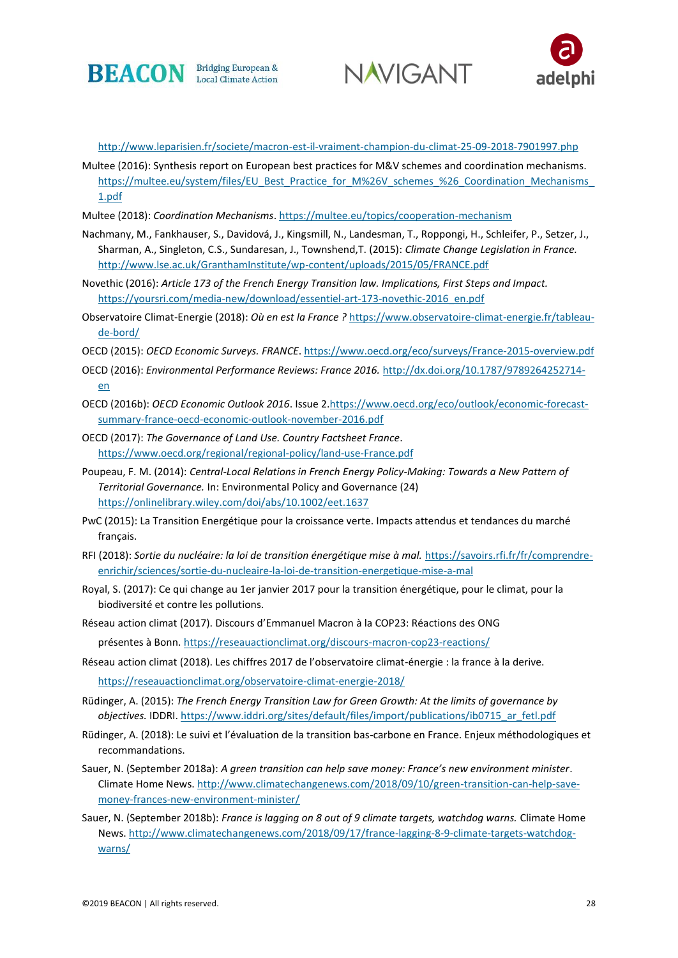





<http://www.leparisien.fr/societe/macron-est-il-vraiment-champion-du-climat-25-09-2018-7901997.php>

- Multee (2016): Synthesis report on European best practices for M&V schemes and coordination mechanisms. https://multee.eu/system/files/EU\_Best\_Practice\_for\_M%26V\_schemes\_%26\_Coordination\_Mechanisms [1.pdf](https://multee.eu/system/files/EU_Best_Practice_for_M%26V_schemes_%26_Coordination_Mechanisms_1.pdf)
- Multee (2018): *Coordination Mechanisms*[. https://multee.eu/topics/cooperation-mechanism](https://multee.eu/topics/cooperation-mechanism)
- Nachmany, M., Fankhauser, S., Davidová, J., Kingsmill, N., Landesman, T., Roppongi, H., Schleifer, P., Setzer, J., Sharman, A., Singleton, C.S., Sundaresan, J., Townshend,T. (2015): *Climate Change Legislation in France.* <http://www.lse.ac.uk/GranthamInstitute/wp-content/uploads/2015/05/FRANCE.pdf>
- Novethic (2016): *Article 173 of the French Energy Transition law. Implications, First Steps and Impact.* [https://yoursri.com/media-new/download/essentiel-art-173-novethic-2016\\_en.pdf](https://yoursri.com/media-new/download/essentiel-art-173-novethic-2016_en.pdf)
- Observatoire Climat-Energie (2018): *Où en est la France ?* [https://www.observatoire-climat-energie.fr/tableau](https://www.observatoire-climat-energie.fr/tableau-de-bord/)[de-bord/](https://www.observatoire-climat-energie.fr/tableau-de-bord/)
- OECD (2015): *OECD Economic Surveys. FRANCE*.<https://www.oecd.org/eco/surveys/France-2015-overview.pdf>
- OECD (2016): *Environmental Performance Reviews: France 2016.* [http://dx.doi.org/10.1787/9789264252714](http://dx.doi.org/10.1787/9789264252714-en) [en](http://dx.doi.org/10.1787/9789264252714-en)
- OECD (2016b): *OECD Economic Outlook 2016*. Issue 2[.https://www.oecd.org/eco/outlook/economic-forecast](https://www.oecd.org/eco/outlook/economic-forecast-summary-france-oecd-economic-outlook-november-2016.pdf)[summary-france-oecd-economic-outlook-november-2016.pdf](https://www.oecd.org/eco/outlook/economic-forecast-summary-france-oecd-economic-outlook-november-2016.pdf)
- OECD (2017): *The Governance of Land Use. Country Factsheet France*. <https://www.oecd.org/regional/regional-policy/land-use-France.pdf>
- Poupeau, F. M. (2014): *Central-Local Relations in French Energy Policy-Making: Towards a New Pattern of Territorial Governance.* In: Environmental Policy and Governance (24) <https://onlinelibrary.wiley.com/doi/abs/10.1002/eet.1637>
- PwC (2015): La Transition Energétique pour la croissance verte. Impacts attendus et tendances du marché français.
- RFI (2018): *Sortie du nucléaire: la loi de transition énergétique mise à mal.* [https://savoirs.rfi.fr/fr/comprendre](https://savoirs.rfi.fr/fr/comprendre-enrichir/sciences/sortie-du-nucleaire-la-loi-de-transition-energetique-mise-a-mal)[enrichir/sciences/sortie-du-nucleaire-la-loi-de-transition-energetique-mise-a-mal](https://savoirs.rfi.fr/fr/comprendre-enrichir/sciences/sortie-du-nucleaire-la-loi-de-transition-energetique-mise-a-mal)
- Royal, S. (2017): Ce qui change au 1er janvier 2017 pour la transition énergétique, pour le climat, pour la biodiversité et contre les pollutions.
- Réseau action climat (2017). Discours d'Emmanuel Macron à la COP23: Réactions des ONG

présentes à Bonn[. https://reseauactionclimat.org/discours-macron-cop23-reactions/](https://reseauactionclimat.org/discours-macron-cop23-reactions/)

Réseau action climat (2018). Les chiffres 2017 de l'observatoire climat-énergie : la france à la derive.

<https://reseauactionclimat.org/observatoire-climat-energie-2018/>

- Rüdinger, A. (2015): *The French Energy Transition Law for Green Growth: At the limits of governance by objectives.* IDDRI. [https://www.iddri.org/sites/default/files/import/publications/ib0715\\_ar\\_fetl.pdf](https://www.iddri.org/sites/default/files/import/publications/ib0715_ar_fetl.pdf)
- Rüdinger, A. (2018): Le suivi et l'évaluation de la transition bas-carbone en France. Enjeux méthodologiques et recommandations.
- Sauer, N. (September 2018a): *A green transition can help save money: France's new environment minister*. Climate Home News[. http://www.climatechangenews.com/2018/09/10/green-transition-can-help-save](http://www.climatechangenews.com/2018/09/10/green-transition-can-help-save-money-frances-new-environment-minister/)[money-frances-new-environment-minister/](http://www.climatechangenews.com/2018/09/10/green-transition-can-help-save-money-frances-new-environment-minister/)
- Sauer, N. (September 2018b): *France is lagging on 8 out of 9 climate targets, watchdog warns.* Climate Home News[. http://www.climatechangenews.com/2018/09/17/france-lagging-8-9-climate-targets-watchdog](http://www.climatechangenews.com/2018/09/17/france-lagging-8-9-climate-targets-watchdog-warns/)[warns/](http://www.climatechangenews.com/2018/09/17/france-lagging-8-9-climate-targets-watchdog-warns/)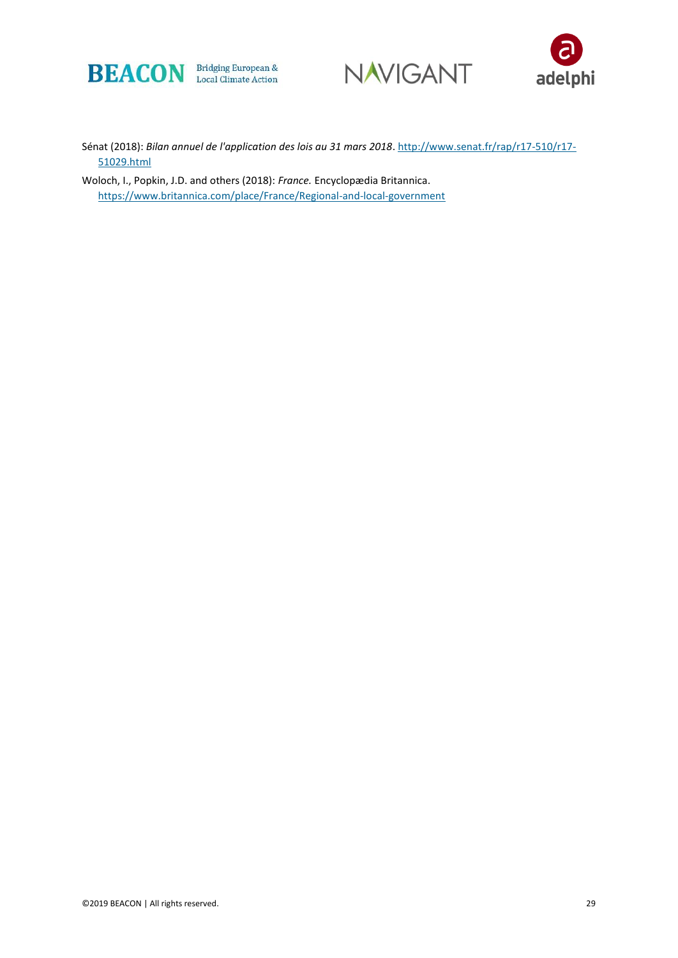





Sénat (2018): *Bilan annuel de l'application des lois au 31 mars 2018*[. http://www.senat.fr/rap/r17-510/r17-](http://www.senat.fr/rap/r17-510/r17-51029.html) [51029.html](http://www.senat.fr/rap/r17-510/r17-51029.html)

Woloch, I., Popkin, J.D. and others (2018): *France.* Encyclopædia Britannica. <https://www.britannica.com/place/France/Regional-and-local-government>